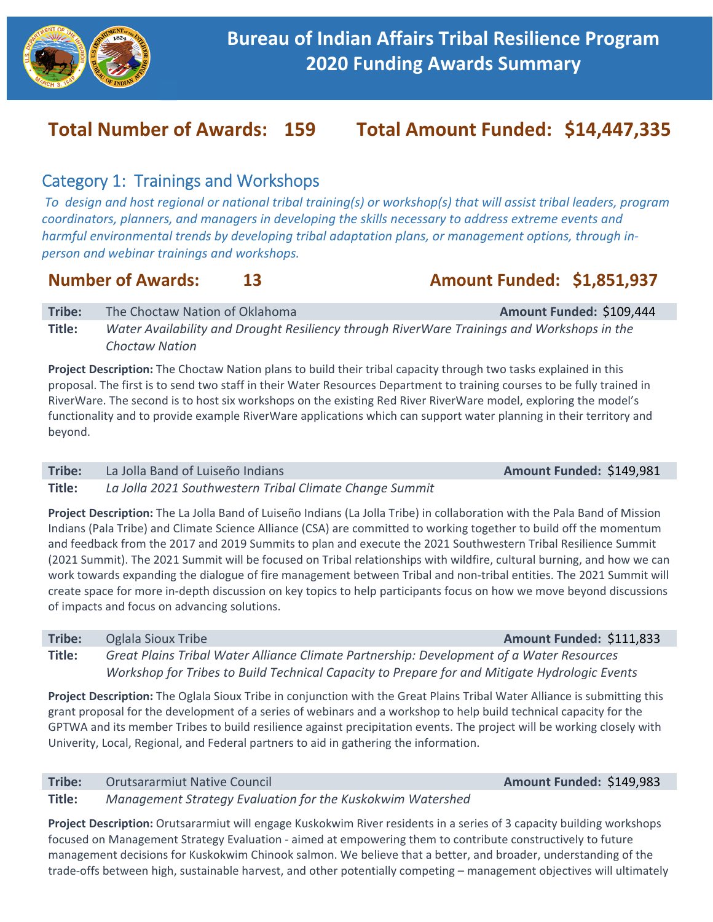

# **Total Number of Awards: 159 Total Amount Funded: \$14,447,335**

## Category 1: Trainings and Workshops

*To design and host regional or national tribal training(s) or workshop(s) that will assist tribal leaders, program coordinators, planners, and managers in developing the skills necessary to address extreme events and harmful environmental trends by developing tribal adaptation plans, or management options, through in‐ person and webinar trainings and workshops.* 

## **Number of Awards:** 13 **Amount Funded: \$1,851,937**

**Tribe:** The Choctaw Nation of Oklahoma **1996 Amount Funded: \$109,444 Title:**  *Water Availability and Drought Resiliency through RiverWare Trainings and Workshops in the Choctaw Nation* 

**Project Description:** The Choctaw Nation plans to build their tribal capacity through two tasks explained in this proposal. The first is to send two staff in their Water Resources Department to training courses to be fully trained in RiverWare. The second is to host six workshops on the existing Red River RiverWare model, exploring the model's functionality and to provide example RiverWare applications which can support water planning in their territory and beyond.

## **Tribe:** La Jolla Band of Luiseño Indians **Amount Funded: \$149,981**

**Title:**  *La Jolla 2021 Southwestern Tribal Climate Change Summit* 

**Project Description:** The La Jolla Band of Luiseño Indians (La Jolla Tribe) in collaboration with the Pala Band of Mission Indians (Pala Tribe) and Climate Science Alliance (CSA) are committed to working together to build off the momentum and feedback from the 2017 and 2019 Summits to plan and execute the 2021 Southwestern Tribal Resilience Summit (2021 Summit). The 2021 Summit will be focused on Tribal relationships with wildfire, cultural burning, and how we can work towards expanding the dialogue of fire management between Tribal and non-tribal entities. The 2021 Summit will create space for more in‐depth discussion on key topics to help participants focus on how we move beyond discussions of impacts and focus on advancing solutions.

**Tribe:** Oglala Sioux Tribe *Amount Funded:* **\$111,833</mark> <b>Amount Funded: \$111,833 Title:**  *Great Plains Tribal Water Alliance Climate Partnership: Development of a Water Resources Workshop for Tribes to Build Technical Capacity to Prepare for and Mitigate Hydrologic Events* 

**Project Description:** The Oglala Sioux Tribe in conjunction with the Great Plains Tribal Water Alliance is submitting this grant proposal for the development of a series of webinars and a workshop to help build technical capacity for the GPTWA and its member Tribes to build resilience against precipitation events. The project will be working closely with Univerity, Local, Regional, and Federal partners to aid in gathering the information.

## **Tribe:** Orutsararmiut Native Council **Amount Funded: \$149,983**

**Title:**  *Management Strategy Evaluation for the Kuskokwim Watershed* 

**Project Description:** Orutsararmiut will engage Kuskokwim River residents in a series of 3 capacity building workshops focused on Management Strategy Evaluation ‐ aimed at empowering them to contribute constructively to future management decisions for Kuskokwim Chinook salmon. We believe that a better, and broader, understanding of the trade‐offs between high, sustainable harvest, and other potentially competing – management objectives will ultimately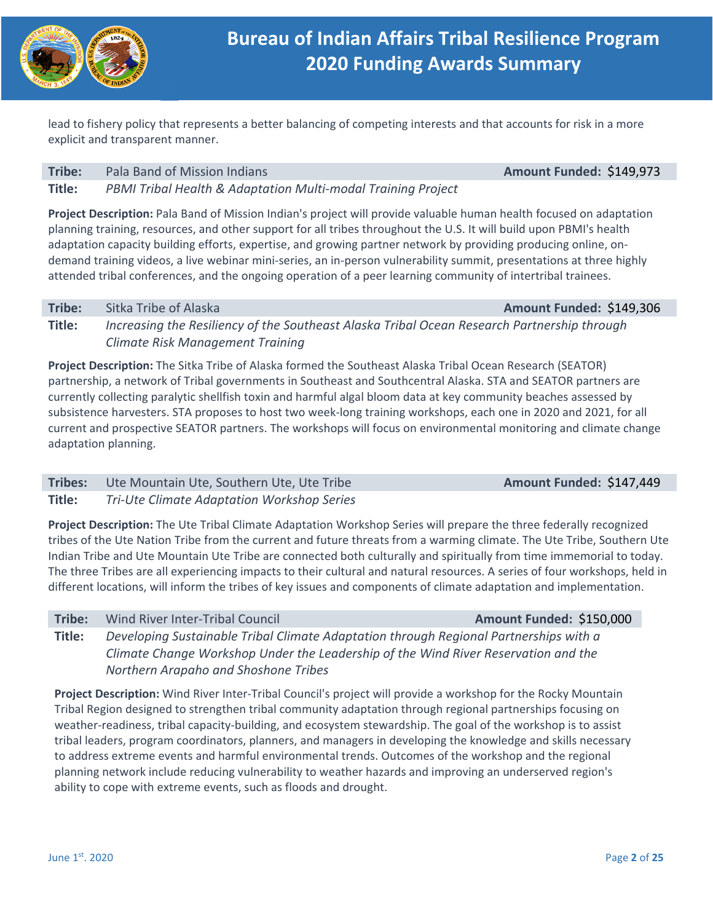

lead to fishery policy that represents a better balancing of competing interests and that accounts for risk in a more explicit and transparent manner.

### **Tribe:** Pala Band of Mission Indians **Amount Funded: \$149,973 Amount Funded: \$149,973**

**Title:**  *PBMI Tribal Health & Adaptation Multi‐modal Training Project* 

**Project Description:** Pala Band of Mission Indian's project will provide valuable human health focused on adaptation planning training, resources, and other support for all tribes throughout the U.S. It will build upon PBMI's health adaptation capacity building efforts, expertise, and growing partner network by providing producing online, on‐ demand training videos, a live webinar mini‐series, an in‐person vulnerability summit, presentations at three highly attended tribal conferences, and the ongoing operation of a peer learning community of intertribal trainees.

### **Tribe:** Sitka Tribe of Alaska **Amount Funded: \$149,306 Amount Funded: \$149,306**

**Title:**  *Increasing the Resiliency of the Southeast Alaska Tribal Ocean Research Partnership through Climate Risk Management Training* 

**Project Description:** The Sitka Tribe of Alaska formed the Southeast Alaska Tribal Ocean Research (SEATOR) partnership, a network of Tribal governments in Southeast and Southcentral Alaska. STA and SEATOR partners are currently collecting paralytic shellfish toxin and harmful algal bloom data at key community beaches assessed by subsistence harvesters. STA proposes to host two week-long training workshops, each one in 2020 and 2021, for all current and prospective SEATOR partners. The workshops will focus on environmental monitoring and climate change adaptation planning.

## **Tribes:** Ute Mountain Ute, Southern Ute, Ute Tribe **Amount Funded: \$147,449**

**Title:**  *Tri‐Ute Climate Adaptation Workshop Series* 

**Project Description:** The Ute Tribal Climate Adaptation Workshop Series will prepare the three federally recognized tribes of the Ute Nation Tribe from the current and future threats from a warming climate. The Ute Tribe, Southern Ute Indian Tribe and Ute Mountain Ute Tribe are connected both culturally and spiritually from time immemorial to today. The three Tribes are all experiencing impacts to their cultural and natural resources. A series of four workshops, held in different locations, will inform the tribes of key issues and components of climate adaptation and implementation.

**Tribe:** Wind River Inter-Tribal Council **Amount Funded: \$150,000 Title:**  *Developing Sustainable Tribal Climate Adaptation through Regional Partnerships with a Climate Change Workshop Under the Leadership of the Wind River Reservation and the* 

## *Northern Arapaho and Shoshone Tribes*

**Project Description:** Wind River Inter‐Tribal Council's project will provide a workshop for the Rocky Mountain Tribal Region designed to strengthen tribal community adaptation through regional partnerships focusing on weather-readiness, tribal capacity-building, and ecosystem stewardship. The goal of the workshop is to assist tribal leaders, program coordinators, planners, and managers in developing the knowledge and skills necessary to address extreme events and harmful environmental trends. Outcomes of the workshop and the regional planning network include reducing vulnerability to weather hazards and improving an underserved region's ability to cope with extreme events, such as floods and drought.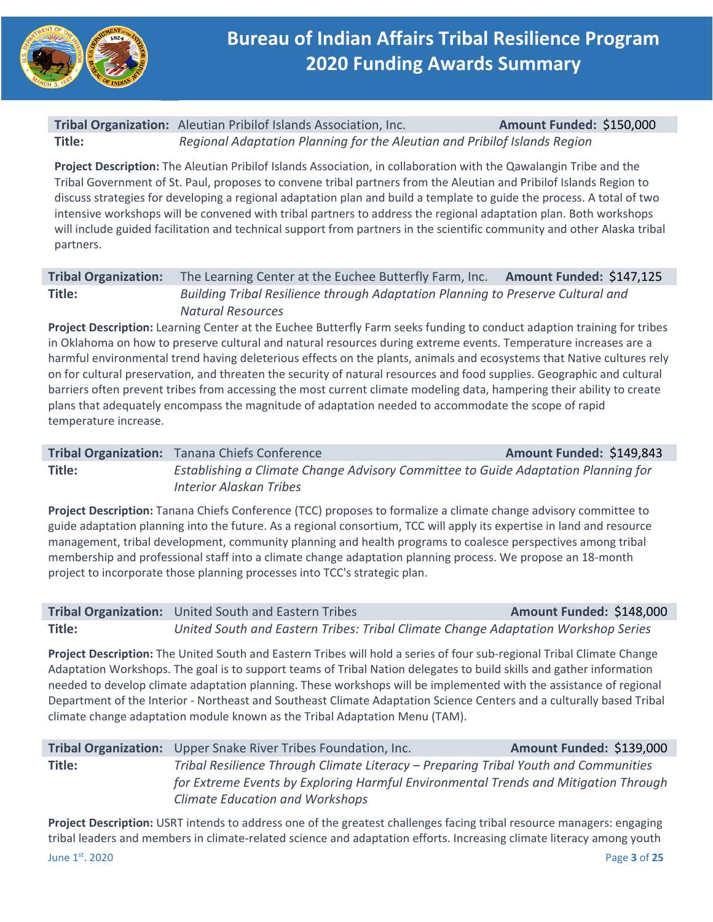

## **Tribal Organization:**  Aleutian Pribilof Islands Association, Inc. **Amount Funded:**  \$150,000 **Title:**  *Regional Adaptation Planning for the Aleutian and Pribilof Islands Region*

**Project Description:** The Aleutian Pribilof Islands Association, in collaboration with the Qawalangin Tribe and the Tribal Government of St. Paul, proposes to convene tribal partners from the Aleutian and Pribilof Islands Region to discuss strategies for developing a regional adaptation plan and build a template to guide the process. A total of two intensive workshops will be convened with tribal partners to address the regional adaptation plan. Both workshops will include guided facilitation and technical support from partners in the scientific community and other Alaska tribal partners.

## **Tribal Organization:**  The Learning Center at the Euchee Butterfly Farm, Inc. **Amount Funded:**  \$147,125 **Title:**  *Building Tribal Resilience through Adaptation Planning to Preserve Cultural and Natural Resources*

**Project Description:** Learning Center at the Euchee Butterfly Farm seeks funding to conduct adaption training for tribes in Oklahoma on how to preserve cultural and natural resources during extreme events. Temperature increases are a harmful environmental trend having deleterious effects on the plants, animals and ecosystems that Native cultures rely on for cultural preservation, and threaten the security of natural resources and food supplies. Geographic and cultural barriers often prevent tribes from accessing the most current climate modeling data, hampering their ability to create plans that adequately encompass the magnitude of adaptation needed to accommodate the scope of rapid temperature increase.

## **Tribal Organization:** Tanana Chiefs Conference  **Amount Funded: \$149,843 Title:**  *Establishing a Climate Change Advisory Committee to Guide Adaptation Planning for Interior Alaskan Tribes*

**Project Description:** Tanana Chiefs Conference (TCC) proposes to formalize a climate change advisory committee to guide adaptation planning into the future. As a regional consortium, TCC will apply its expertise in land and resource management, tribal development, community planning and health programs to coalesce perspectives among tribal membership and professional staff into a climate change adaptation planning process. We propose an 18‐month project to incorporate those planning processes into TCC's strategic plan.

### **Tribal Organization:** United South and Eastern Tribes **Amount Funded: \$148,000 Title:**  *United South and Eastern Tribes: Tribal Climate Change Adaptation Workshop Series*

**Project Description:** The United South and Eastern Tribes will hold a series of four sub-regional Tribal Climate Change Adaptation Workshops. The goal is to support teams of Tribal Nation delegates to build skills and gather information needed to develop climate adaptation planning. These workshops will be implemented with the assistance of regional Department of the Interior ‐ Northeast and Southeast Climate Adaptation Science Centers and a culturally based Tribal climate change adaptation module known as the Tribal Adaptation Menu (TAM).

|        | <b>Tribal Organization:</b> Upper Snake River Tribes Foundation, Inc.               | Amount Funded: \$139,000 |
|--------|-------------------------------------------------------------------------------------|--------------------------|
| Title: | Tribal Resilience Through Climate Literacy – Preparing Tribal Youth and Communities |                          |
|        | for Extreme Events by Exploring Harmful Environmental Trends and Mitigation Through |                          |
|        | <b>Climate Education and Workshops</b>                                              |                          |

June 1st. 2020 Page **3** of **25 Project Description:** USRT intends to address one of the greatest challenges facing tribal resource managers: engaging tribal leaders and members in climate‐related science and adaptation efforts. Increasing climate literacy among youth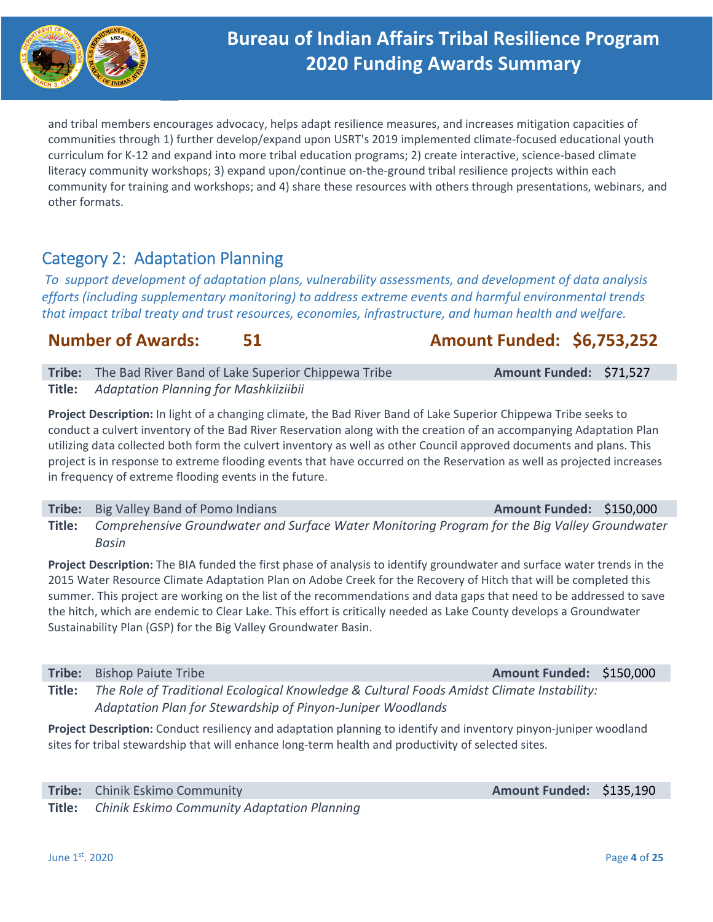

and tribal members encourages advocacy, helps adapt resilience measures, and increases mitigation capacities of communities through 1) further develop/expand upon USRT's 2019 implemented climate-focused educational youth curriculum for K‐12 and expand into more tribal education programs; 2) create interactive, science‐based climate literacy community workshops; 3) expand upon/continue on-the-ground tribal resilience projects within each community for training and workshops; and 4) share these resources with others through presentations, webinars, and other formats.

# Category 2: Adaptation Planning

*To support development of adaptation plans, vulnerability assessments, and development of data analysis efforts (including supplementary monitoring) to address extreme events and harmful environmental trends that impact tribal treaty and trust resources, economies, infrastructure, and human health and welfare.* 

## **Number of Awards: 51 Amount Funded: \$6,753,252**

**Tribe:** The Bad River Band of Lake Superior Chippewa Tribe **Amount Funded: \$71,527 Title:**  *Adaptation Planning for Mashkiiziibii* 

**Project Description:** In light of a changing climate, the Bad River Band of Lake Superior Chippewa Tribe seeks to conduct a culvert inventory of the Bad River Reservation along with the creation of an accompanying Adaptation Plan utilizing data collected both form the culvert inventory as well as other Council approved documents and plans. This project is in response to extreme flooding events that have occurred on the Reservation as well as projected increases in frequency of extreme flooding events in the future.

**Tribe:** Big Valley Band of Pomo Indians **Amount Funded: \$150,000 Amount Funded: \$150,000 Title:**  *Comprehensive Groundwater and Surface Water Monitoring Program for the Big Valley Groundwater Basin* 

**Project Description:** The BIA funded the first phase of analysis to identify groundwater and surface water trends in the 2015 Water Resource Climate Adaptation Plan on Adobe Creek for the Recovery of Hitch that will be completed this summer. This project are working on the list of the recommendations and data gaps that need to be addressed to save the hitch, which are endemic to Clear Lake. This effort is critically needed as Lake County develops a Groundwater Sustainability Plan (GSP) for the Big Valley Groundwater Basin.

**Tribe:** Bishop Paiute Tribe **Amount Funded: \$150,000** 

**Title:**  *The Role of Traditional Ecological Knowledge & Cultural Foods Amidst Climate Instability: Adaptation Plan for Stewardship of Pinyon‐Juniper Woodlands* 

**Project Description:** Conduct resiliency and adaptation planning to identify and inventory pinyon‐juniper woodland sites for tribal stewardship that will enhance long-term health and productivity of selected sites.

| <b>Tribe:</b> Chinik Eskimo Community                     |
|-----------------------------------------------------------|
| <b>Title:</b> Chinik Eskimo Community Adaptation Planning |

**Amount Funded: \$135,190** 

June 1st. 2020 Page **4** of **25**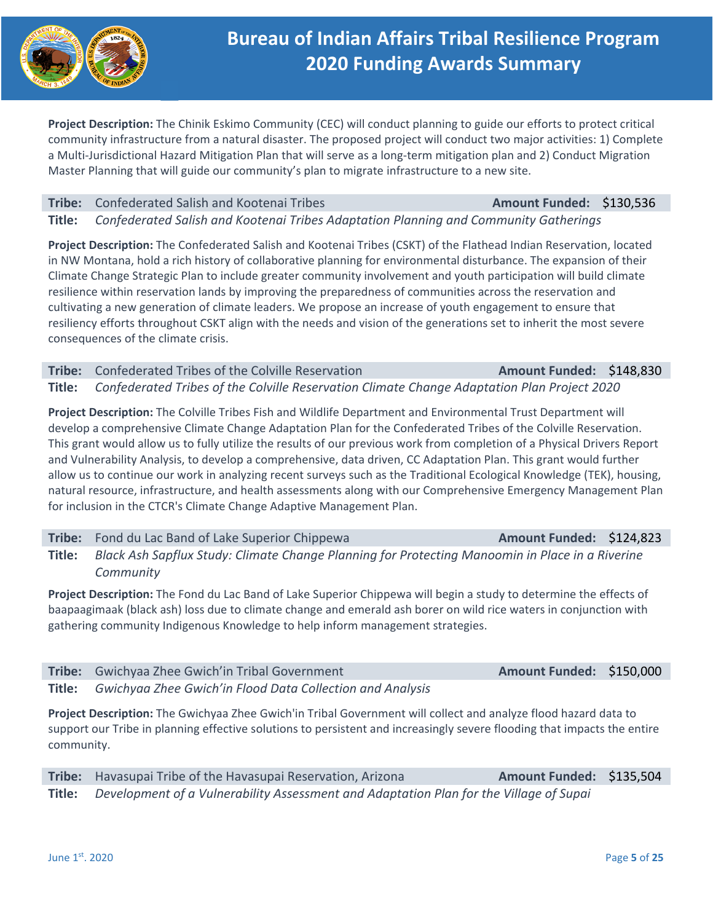

**Project Description:** The Chinik Eskimo Community (CEC) will conduct planning to guide our efforts to protect critical community infrastructure from a natural disaster. The proposed project will conduct two major activities: 1) Complete a Multi‐Jurisdictional Hazard Mitigation Plan that will serve as a long‐term mitigation plan and 2) Conduct Migration Master Planning that will guide our community's plan to migrate infrastructure to a new site.

### **Tribe:** Confederated Salish and Kootenai Tribes **Amount Funded: \$130,536**

**Title:**  *Confederated Salish and Kootenai Tribes Adaptation Planning and Community Gatherings* 

**Project Description:** The Confederated Salish and Kootenai Tribes (CSKT) of the Flathead Indian Reservation, located in NW Montana, hold a rich history of collaborative planning for environmental disturbance. The expansion of their Climate Change Strategic Plan to include greater community involvement and youth participation will build climate resilience within reservation lands by improving the preparedness of communities across the reservation and cultivating a new generation of climate leaders. We propose an increase of youth engagement to ensure that resiliency efforts throughout CSKT align with the needs and vision of the generations set to inherit the most severe consequences of the climate crisis.

## **Tribe:** Confederated Tribes of the Colville Reservation **Amount Funded: \$148,830 Title:**  *Confederated Tribes of the Colville Reservation Climate Change Adaptation Plan Project 2020*

**Project Description:** The Colville Tribes Fish and Wildlife Department and Environmental Trust Department will develop a comprehensive Climate Change Adaptation Plan for the Confederated Tribes of the Colville Reservation. This grant would allow us to fully utilize the results of our previous work from completion of a Physical Drivers Report and Vulnerability Analysis, to develop a comprehensive, data driven, CC Adaptation Plan. This grant would further allow us to continue our work in analyzing recent surveys such as the Traditional Ecological Knowledge (TEK), housing, natural resource, infrastructure, and health assessments along with our Comprehensive Emergency Management Plan for inclusion in the CTCR's Climate Change Adaptive Management Plan.

**Tribe:** Fond du Lac Band of Lake Superior Chippewa **Amount Funded: \$124,823** 

**Title:**  *Black Ash Sapflux Study: Climate Change Planning for Protecting Manoomin in Place in a Riverine Community* 

**Project Description:** The Fond du Lac Band of Lake Superior Chippewa will begin a study to determine the effects of baapaagimaak (black ash) loss due to climate change and emerald ash borer on wild rice waters in conjunction with gathering community Indigenous Knowledge to help inform management strategies.

| <b>Tribe:</b> Gwichyaa Zhee Gwich' in Tribal Government          | Amount Funded: \$150,000 |  |
|------------------------------------------------------------------|--------------------------|--|
| Title: Gwichyaa Zhee Gwich'in Flood Data Collection and Analysis |                          |  |

**Project Description:** The Gwichyaa Zhee Gwich'in Tribal Government will collect and analyze flood hazard data to support our Tribe in planning effective solutions to persistent and increasingly severe flooding that impacts the entire community.

**Tribe:** Havasupai Tribe of the Havasupai Reservation, Arizona **Amount Funded: \$135,504 Title:**  *Development of a Vulnerability Assessment and Adaptation Plan for the Village of Supai*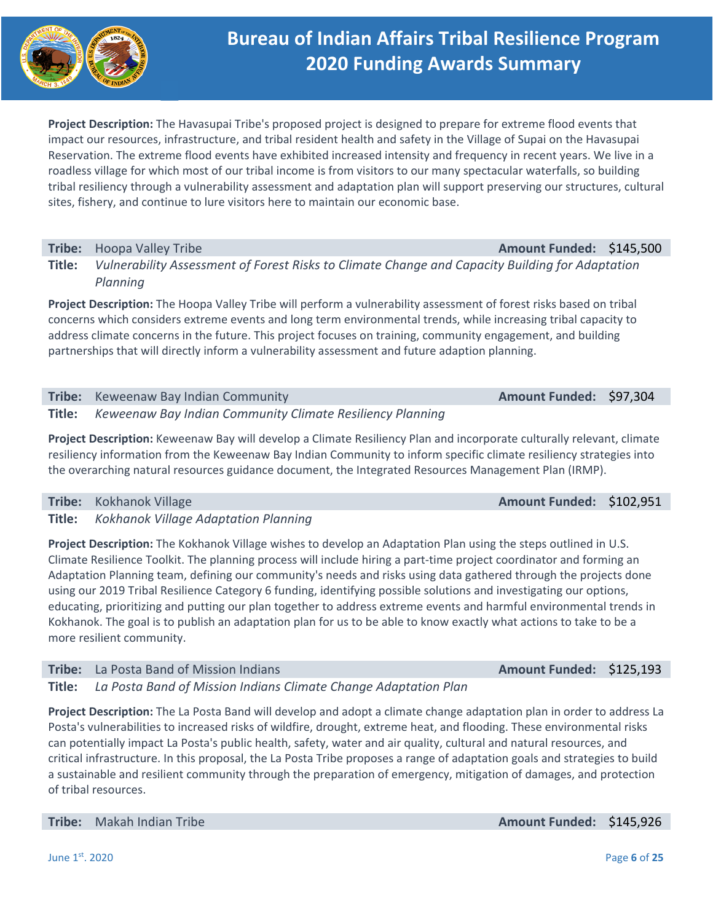

**Project Description:** The Havasupai Tribe's proposed project is designed to prepare for extreme flood events that impact our resources, infrastructure, and tribal resident health and safety in the Village of Supai on the Havasupai Reservation. The extreme flood events have exhibited increased intensity and frequency in recent years. We live in a roadless village for which most of our tribal income is from visitors to our many spectacular waterfalls, so building tribal resiliency through a vulnerability assessment and adaptation plan will support preserving our structures, cultural sites, fishery, and continue to lure visitors here to maintain our economic base.

**Tribe:** Hoopa Valley Tribe **Amount Funded: \$145,500** 

**Title:**  *Vulnerability Assessment of Forest Risks to Climate Change and Capacity Building for Adaptation Planning* 

**Project Description:** The Hoopa Valley Tribe will perform a vulnerability assessment of forest risks based on tribal concerns which considers extreme events and long term environmental trends, while increasing tribal capacity to address climate concerns in the future. This project focuses on training, community engagement, and building partnerships that will directly inform a vulnerability assessment and future adaption planning.

| Tribe: Keweenaw Bay Indian Community                             | Amount Funded: \$97,304 |  |
|------------------------------------------------------------------|-------------------------|--|
| Title: Keweenaw Bay Indian Community Climate Resiliency Planning |                         |  |

**Project Description:** Keweenaw Bay will develop a Climate Resiliency Plan and incorporate culturally relevant, climate resiliency information from the Keweenaw Bay Indian Community to inform specific climate resiliency strategies into the overarching natural resources guidance document, the Integrated Resources Management Plan (IRMP).

|  | Tribe: Kokhanok Village                                                                                                                                                                                                       |  |  | Amount Funded: \$102,951 |  |
|--|-------------------------------------------------------------------------------------------------------------------------------------------------------------------------------------------------------------------------------|--|--|--------------------------|--|
|  | $-1$ , and the contract of the contract of the contract of the contract of the contract of the contract of the contract of the contract of the contract of the contract of the contract of the contract of the contract of th |  |  |                          |  |

**Title:**  *Kokhanok Village Adaptation Planning* 

**Project Description:** The Kokhanok Village wishes to develop an Adaptation Plan using the steps outlined in U.S. Climate Resilience Toolkit. The planning process will include hiring a part‐time project coordinator and forming an Adaptation Planning team, defining our community's needs and risks using data gathered through the projects done using our 2019 Tribal Resilience Category 6 funding, identifying possible solutions and investigating our options, educating, prioritizing and putting our plan together to address extreme events and harmful environmental trends in Kokhanok. The goal is to publish an adaptation plan for us to be able to know exactly what actions to take to be a more resilient community.

**Tribe:** La Posta Band of Mission Indians **Amount Funded: \$125,193 Amount Funded: \$125,193 Title:**  *La Posta Band of Mission Indians Climate Change Adaptation Plan*

**Project Description:** The La Posta Band will develop and adopt a climate change adaptation plan in order to address La Posta's vulnerabilities to increased risks of wildfire, drought, extreme heat, and flooding. These environmental risks can potentially impact La Posta's public health, safety, water and air quality, cultural and natural resources, and critical infrastructure. In this proposal, the La Posta Tribe proposes a range of adaptation goals and strategies to build a sustainable and resilient community through the preparation of emergency, mitigation of damages, and protection of tribal resources.

**Tribe:** Makah Indian Tribe *Amount Funded:* **\$145,926**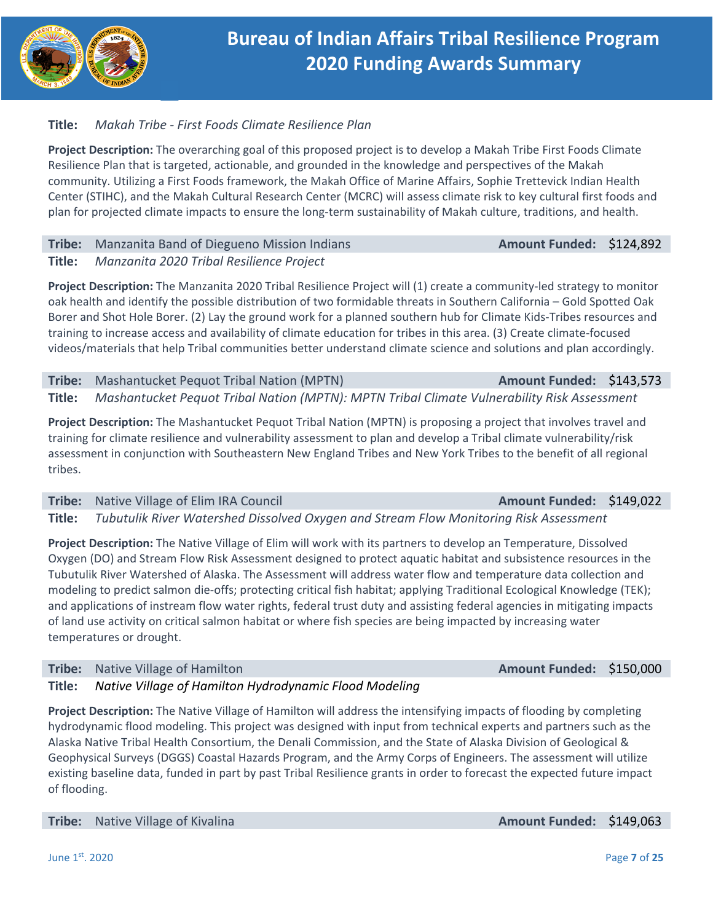

## **Title:**  *Makah Tribe ‐ First Foods Climate Resilience Plan*

**Project Description:** The overarching goal of this proposed project is to develop a Makah Tribe First Foods Climate Resilience Plan that is targeted, actionable, and grounded in the knowledge and perspectives of the Makah community. Utilizing a First Foods framework, the Makah Office of Marine Affairs, Sophie Trettevick Indian Health Center (STIHC), and the Makah Cultural Research Center (MCRC) will assess climate risk to key cultural first foods and plan for projected climate impacts to ensure the long‐term sustainability of Makah culture, traditions, and health.

## **Tribe:** Manzanita Band of Diegueno Mission Indians **Amount Funded: \$124,892 Title:**  *Manzanita 2020 Tribal Resilience Project*

**Project Description:** The Manzanita 2020 Tribal Resilience Project will (1) create a community‐led strategy to monitor oak health and identify the possible distribution of two formidable threats in Southern California – Gold Spotted Oak Borer and Shot Hole Borer. (2) Lay the ground work for a planned southern hub for Climate Kids‐Tribes resources and training to increase access and availability of climate education for tribes in this area. (3) Create climate‐focused videos/materials that help Tribal communities better understand climate science and solutions and plan accordingly.

**Tribe:** Mashantucket Pequot Tribal Nation (MPTN) **Amount Funded: \$143,573 Title:**  *Mashantucket Pequot Tribal Nation (MPTN): MPTN Tribal Climate Vulnerability Risk Assessment* 

**Project Description:** The Mashantucket Pequot Tribal Nation (MPTN) is proposing a project that involves travel and training for climate resilience and vulnerability assessment to plan and develop a Tribal climate vulnerability/risk assessment in conjunction with Southeastern New England Tribes and New York Tribes to the benefit of all regional tribes.

**Tribe:**  Native Village of Elim IRA Council **Amount Funded:**  \$149,022

**Title:**  *Tubutulik River Watershed Dissolved Oxygen and Stream Flow Monitoring Risk Assessment* 

**Project Description:** The Native Village of Elim will work with its partners to develop an Temperature, Dissolved Oxygen (DO) and Stream Flow Risk Assessment designed to protect aquatic habitat and subsistence resources in the Tubutulik River Watershed of Alaska. The Assessment will address water flow and temperature data collection and modeling to predict salmon die‐offs; protecting critical fish habitat; applying Traditional Ecological Knowledge (TEK); and applications of instream flow water rights, federal trust duty and assisting federal agencies in mitigating impacts of land use activity on critical salmon habitat or where fish species are being impacted by increasing water temperatures or drought.

**Tribe:**  Native Village of Hamilton **Amount Funded:**  \$150,000

## **Title:**  *Native Village of Hamilton Hydrodynamic Flood Modeling*

**Project Description:** The Native Village of Hamilton will address the intensifying impacts of flooding by completing hydrodynamic flood modeling. This project was designed with input from technical experts and partners such as the Alaska Native Tribal Health Consortium, the Denali Commission, and the State of Alaska Division of Geological & Geophysical Surveys (DGGS) Coastal Hazards Program, and the Army Corps of Engineers. The assessment will utilize existing baseline data, funded in part by past Tribal Resilience grants in order to forecast the expected future impact of flooding.

**Tribe:** Native Village of Kivalina **Amount Funded: \$149,063 Amount Funded: \$149,063**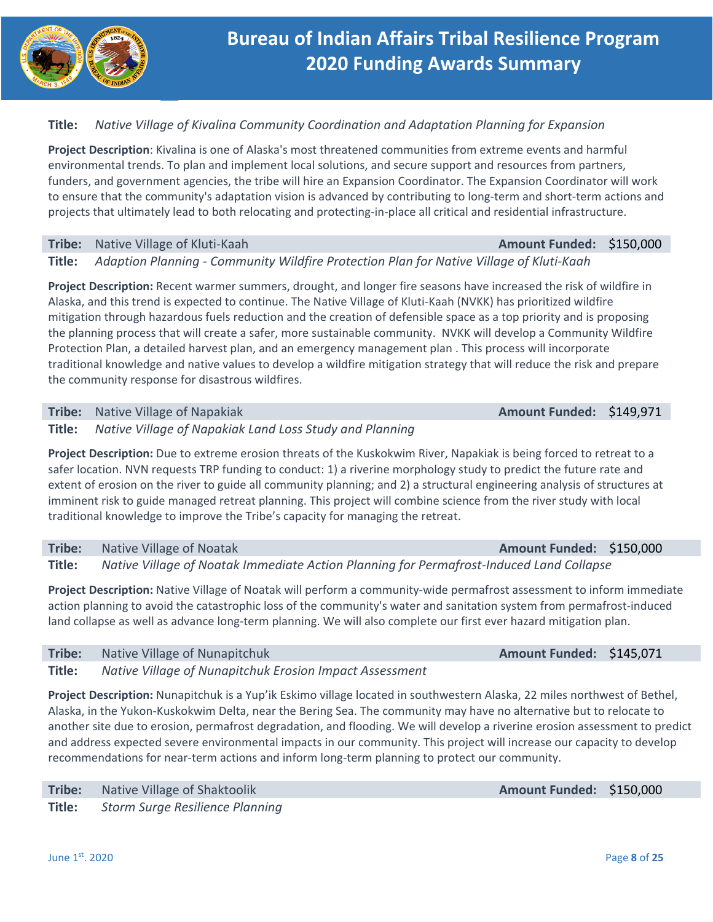

## **Title:**  *Native Village of Kivalina Community Coordination and Adaptation Planning for Expansion*

**Project Description**: Kivalina is one of Alaska's most threatened communities from extreme events and harmful environmental trends. To plan and implement local solutions, and secure support and resources from partners, funders, and government agencies, the tribe will hire an Expansion Coordinator. The Expansion Coordinator will work to ensure that the community's adaptation vision is advanced by contributing to long-term and short-term actions and projects that ultimately lead to both relocating and protecting‐in‐place all critical and residential infrastructure.

### **Tribe:**  Native Village of Kluti‐Kaah **Amount Funded:**  \$150,000

**Title:**  *Adaption Planning ‐ Community Wildfire Protection Plan for Native Village of Kluti‐Kaah* 

**Project Description:** Recent warmer summers, drought, and longer fire seasons have increased the risk of wildfire in Alaska, and this trend is expected to continue. The Native Village of Kluti‐Kaah (NVKK) has prioritized wildfire mitigation through hazardous fuels reduction and the creation of defensible space as a top priority and is proposing the planning process that will create a safer, more sustainable community. NVKK will develop a Community Wildfire Protection Plan, a detailed harvest plan, and an emergency management plan . This process will incorporate traditional knowledge and native values to develop a wildfire mitigation strategy that will reduce the risk and prepare the community response for disastrous wildfires.

### **Tribe:** Native Village of Napakiak *Amount Funded:* **\$149,971**

### **Title:**  *Native Village of Napakiak Land Loss Study and Planning*

**Project Description:** Due to extreme erosion threats of the Kuskokwim River, Napakiak is being forced to retreat to a safer location. NVN requests TRP funding to conduct: 1) a riverine morphology study to predict the future rate and extent of erosion on the river to guide all community planning; and 2) a structural engineering analysis of structures at imminent risk to guide managed retreat planning. This project will combine science from the river study with local traditional knowledge to improve the Tribe's capacity for managing the retreat.

## **Tribe:** Native Village of Noatak Amount Funded: \$150,000

**Title:**  *Native Village of Noatak Immediate Action Planning for Permafrost‐Induced Land Collapse* 

**Project Description:** Native Village of Noatak will perform a community-wide permafrost assessment to inform immediate action planning to avoid the catastrophic loss of the community's water and sanitation system from permafrost‐induced land collapse as well as advance long-term planning. We will also complete our first ever hazard mitigation plan.

## **Tribe:** Native Village of Nunapitchuk **Amount Funded: \$145,071**

**Title:**  *Native Village of Nunapitchuk Erosion Impact Assessment* 

**Project Description:** Nunapitchuk is a Yup'ik Eskimo village located in southwestern Alaska, 22 miles northwest of Bethel, Alaska, in the Yukon‐Kuskokwim Delta, near the Bering Sea. The community may have no alternative but to relocate to another site due to erosion, permafrost degradation, and flooding. We will develop a riverine erosion assessment to predict and address expected severe environmental impacts in our community. This project will increase our capacity to develop recommendations for near‐term actions and inform long‐term planning to protect our community.

| Tribe: | Native Village of Shaktoolik    |
|--------|---------------------------------|
| Title: | Storm Surge Resilience Planning |

**Amount Funded: \$150,000**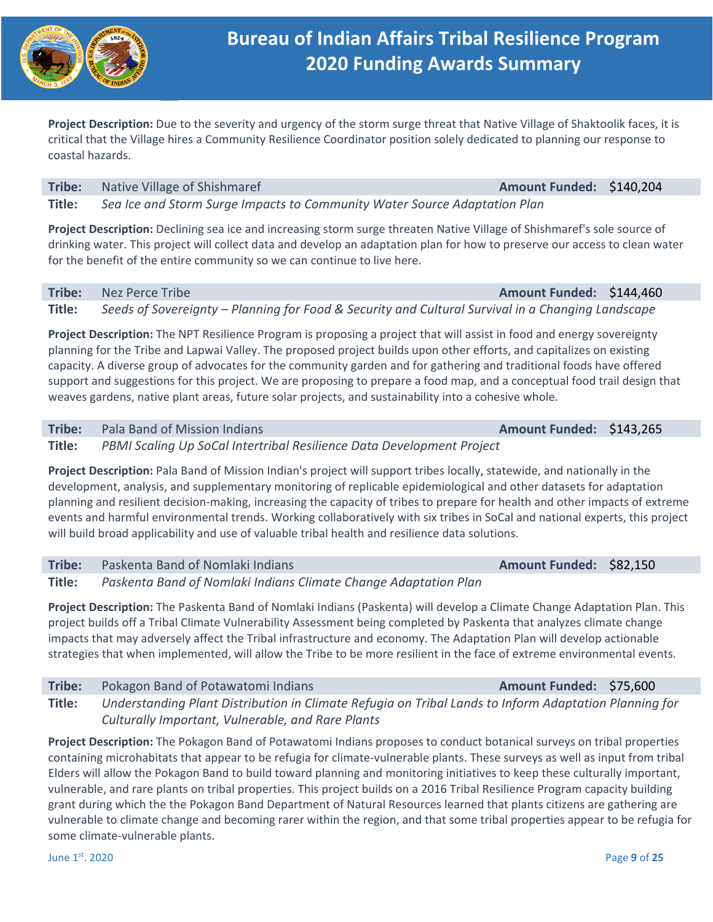

**Project Description:** Due to the severity and urgency of the storm surge threat that Native Village of Shaktoolik faces, it is critical that the Village hires a Community Resilience Coordinator position solely dedicated to planning our response to coastal hazards.

### **Tribe:** Native Village of Shishmaref **Amount Funded: \$140,204 Amount Funded: \$140,204 Title:**  *Sea Ice and Storm Surge Impacts to Community Water Source Adaptation Plan*

**Project Description:** Declining sea ice and increasing storm surge threaten Native Village of Shishmaref's sole source of drinking water. This project will collect data and develop an adaptation plan for how to preserve our access to clean water for the benefit of the entire community so we can continue to live here.

**Title:**  *Seeds of Sovereignty – Planning for Food & Security and Cultural Survival in a Changing Landscape* 

**Project Description:** The NPT Resilience Program is proposing a project that will assist in food and energy sovereignty planning for the Tribe and Lapwai Valley. The proposed project builds upon other efforts, and capitalizes on existing capacity. A diverse group of advocates for the community garden and for gathering and traditional foods have offered support and suggestions for this project. We are proposing to prepare a food map, and a conceptual food trail design that weaves gardens, native plant areas, future solar projects, and sustainability into a cohesive whole.

## **Tribe:**  Pala Band of Mission Indians **Amount Funded:**  \$143,265

**Title:**  *PBMI Scaling Up SoCal Intertribal Resilience Data Development Project* 

**Project Description:** Pala Band of Mission Indian's project will support tribes locally, statewide, and nationally in the development, analysis, and supplementary monitoring of replicable epidemiological and other datasets for adaptation planning and resilient decision‐making, increasing the capacity of tribes to prepare for health and other impacts of extreme events and harmful environmental trends. Working collaboratively with six tribes in SoCal and national experts, this project will build broad applicability and use of valuable tribal health and resilience data solutions.

## **Tribe:** Paskenta Band of Nomlaki Indians **Amount Funded: \$82,150 Amount Funded: \$82,150 Title:**  *Paskenta Band of Nomlaki Indians Climate Change Adaptation Plan*

**Project Description:** The Paskenta Band of Nomlaki Indians (Paskenta) will develop a Climate Change Adaptation Plan. This project builds off a Tribal Climate Vulnerability Assessment being completed by Paskenta that analyzes climate change impacts that may adversely affect the Tribal infrastructure and economy. The Adaptation Plan will develop actionable strategies that when implemented, will allow the Tribe to be more resilient in the face of extreme environmental events.

| Tribe: | Pokagon Band of Potawatomi Indians                                                                    | Amount Funded: \$75,600 |  |
|--------|-------------------------------------------------------------------------------------------------------|-------------------------|--|
| Title: | Understanding Plant Distribution in Climate Refugia on Tribal Lands to Inform Adaptation Planning for |                         |  |
|        | Culturally Important, Vulnerable, and Rare Plants                                                     |                         |  |

**Project Description:** The Pokagon Band of Potawatomi Indians proposes to conduct botanical surveys on tribal properties containing microhabitats that appear to be refugia for climate‐vulnerable plants. These surveys as well as input from tribal Elders will allow the Pokagon Band to build toward planning and monitoring initiatives to keep these culturally important, vulnerable, and rare plants on tribal properties. This project builds on a 2016 Tribal Resilience Program capacity building grant during which the the Pokagon Band Department of Natural Resources learned that plants citizens are gathering are vulnerable to climate change and becoming rarer within the region, and that some tribal properties appear to be refugia for some climate‐vulnerable plants.

June 1st. 2020 Page **9** of **25**

## **Tribe:**  Nez Perce Tribe **Amount Funded:**  \$144,460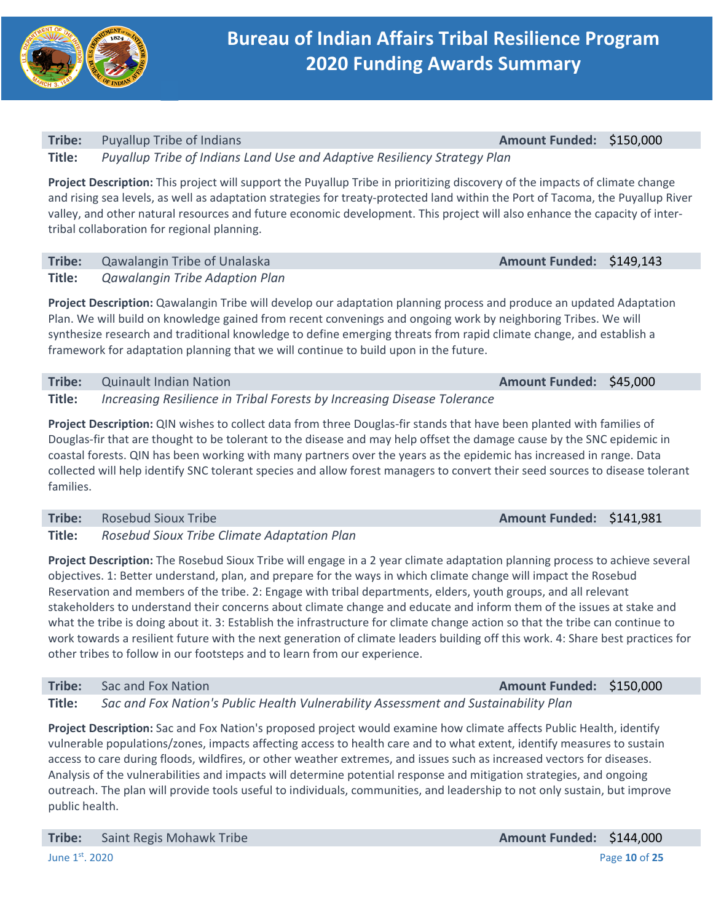

## **Tribe:**  Puyallup Tribe of Indians **Amount Funded:**  \$150,000 **Title:**  *Puyallup Tribe of Indians Land Use and Adaptive Resiliency Strategy Plan*

**Project Description:** This project will support the Puyallup Tribe in prioritizing discovery of the impacts of climate change and rising sea levels, as well as adaptation strategies for treaty‐protected land within the Port of Tacoma, the Puyallup River valley, and other natural resources and future economic development. This project will also enhance the capacity of inter‐ tribal collaboration for regional planning.

| Tribe: Qawalangin Tribe of Unalaska          | Amount Funded: \$149,143 |  |
|----------------------------------------------|--------------------------|--|
| <b>Title:</b> Qawalangin Tribe Adaption Plan |                          |  |

**Project Description:** Qawalangin Tribe will develop our adaptation planning process and produce an updated Adaptation Plan. We will build on knowledge gained from recent convenings and ongoing work by neighboring Tribes. We will synthesize research and traditional knowledge to define emerging threats from rapid climate change, and establish a framework for adaptation planning that we will continue to build upon in the future.

**Tribe:** Quinault Indian Nation **Amount Funded: \$45,000 Title:**  *Increasing Resilience in Tribal Forests by Increasing Disease Tolerance* 

**Project Description:** QIN wishes to collect data from three Douglas-fir stands that have been planted with families of Douglas‐fir that are thought to be tolerant to the disease and may help offset the damage cause by the SNC epidemic in coastal forests. QIN has been working with many partners over the years as the epidemic has increased in range. Data collected will help identify SNC tolerant species and allow forest managers to convert their seed sources to disease tolerant families.

**Tribe:** Rosebud Sioux Tribe **Amount Funded: \$141,981 Title:**  *Rosebud Sioux Tribe Climate Adaptation Plan* 

**Project Description:** The Rosebud Sioux Tribe will engage in a 2 year climate adaptation planning process to achieve several objectives. 1: Better understand, plan, and prepare for the ways in which climate change will impact the Rosebud Reservation and members of the tribe. 2: Engage with tribal departments, elders, youth groups, and all relevant stakeholders to understand their concerns about climate change and educate and inform them of the issues at stake and what the tribe is doing about it. 3: Establish the infrastructure for climate change action so that the tribe can continue to work towards a resilient future with the next generation of climate leaders building off this work. 4: Share best practices for other tribes to follow in our footsteps and to learn from our experience.

## **Tribe:**  Sac and Fox Nation **Amount Funded:**  \$150,000

**Title:**  *Sac and Fox Nation's Public Health Vulnerability Assessment and Sustainability Plan* 

**Project Description:** Sac and Fox Nation's proposed project would examine how climate affects Public Health, identify vulnerable populations/zones, impacts affecting access to health care and to what extent, identify measures to sustain access to care during floods, wildfires, or other weather extremes, and issues such as increased vectors for diseases. Analysis of the vulnerabilities and impacts will determine potential response and mitigation strategies, and ongoing outreach. The plan will provide tools useful to individuals, communities, and leadership to not only sustain, but improve public health.

**Tribe:** Saint Regis Mohawk Tribe **Amount Funded: \$144,000 Amount Funded: \$144,000**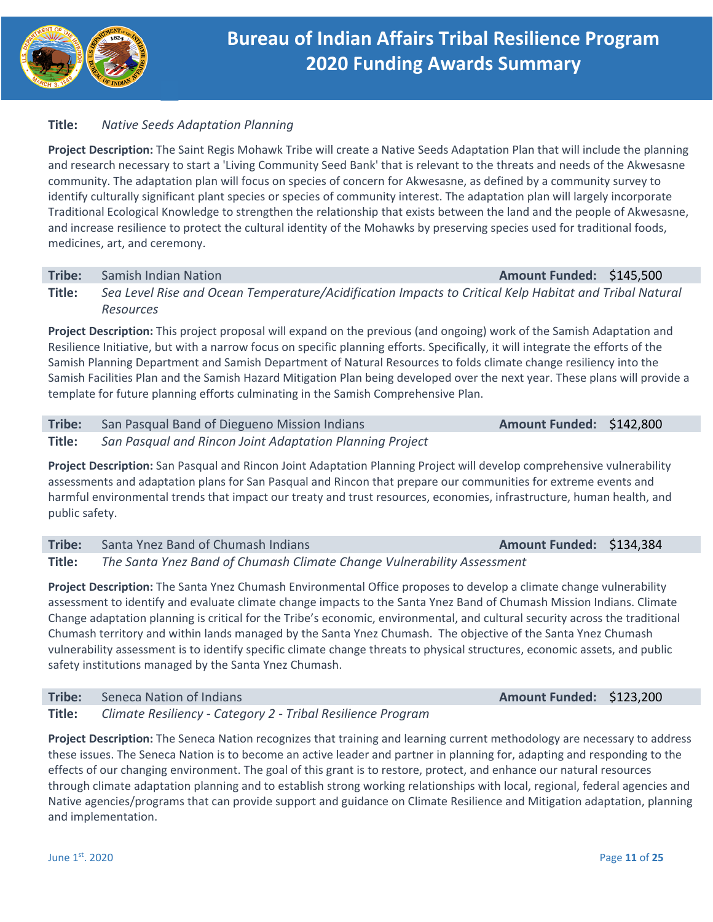

## **Title:**  *Native Seeds Adaptation Planning*

**Project Description:** The Saint Regis Mohawk Tribe will create a Native Seeds Adaptation Plan that will include the planning and research necessary to start a 'Living Community Seed Bank' that is relevant to the threats and needs of the Akwesasne community. The adaptation plan will focus on species of concern for Akwesasne, as defined by a community survey to identify culturally significant plant species or species of community interest. The adaptation plan will largely incorporate Traditional Ecological Knowledge to strengthen the relationship that exists between the land and the people of Akwesasne, and increase resilience to protect the cultural identity of the Mohawks by preserving species used for traditional foods, medicines, art, and ceremony.

### **Tribe:** Samish Indian Nation **Amount Funded: \$145,500**

**Title:**  *Sea Level Rise and Ocean Temperature/Acidification Impacts to Critical Kelp Habitat and Tribal Natural Resources* 

**Project Description:** This project proposal will expand on the previous (and ongoing) work of the Samish Adaptation and Resilience Initiative, but with a narrow focus on specific planning efforts. Specifically, it will integrate the efforts of the Samish Planning Department and Samish Department of Natural Resources to folds climate change resiliency into the Samish Facilities Plan and the Samish Hazard Mitigation Plan being developed over the next year. These plans will provide a template for future planning efforts culminating in the Samish Comprehensive Plan.

**Tribe:** San Pasqual Band of Diegueno Mission Indians **Amount Funded: \$142,800 Title:**  *San Pasqual and Rincon Joint Adaptation Planning Project* 

**Project Description:** San Pasqual and Rincon Joint Adaptation Planning Project will develop comprehensive vulnerability assessments and adaptation plans for San Pasqual and Rincon that prepare our communities for extreme events and harmful environmental trends that impact our treaty and trust resources, economies, infrastructure, human health, and public safety.

## **Tribe:**  Santa Ynez Band of Chumash Indians **Amount Funded:**  \$134,384 **Title:**  *The Santa Ynez Band of Chumash Climate Change Vulnerability Assessment*

**Project Description:** The Santa Ynez Chumash Environmental Office proposes to develop a climate change vulnerability assessment to identify and evaluate climate change impacts to the Santa Ynez Band of Chumash Mission Indians. Climate Change adaptation planning is critical for the Tribe's economic, environmental, and cultural security across the traditional Chumash territory and within lands managed by the Santa Ynez Chumash. The objective of the Santa Ynez Chumash vulnerability assessment is to identify specific climate change threats to physical structures, economic assets, and public safety institutions managed by the Santa Ynez Chumash.

## **Tribe:** Seneca Nation of Indians **Amount Funded: \$123,200 Amount Funded: \$123,200**

**Title:**  *Climate Resiliency ‐ Category 2 ‐ Tribal Resilience Program* 

**Project Description:** The Seneca Nation recognizes that training and learning current methodology are necessary to address these issues. The Seneca Nation is to become an active leader and partner in planning for, adapting and responding to the effects of our changing environment. The goal of this grant is to restore, protect, and enhance our natural resources through climate adaptation planning and to establish strong working relationships with local, regional, federal agencies and Native agencies/programs that can provide support and guidance on Climate Resilience and Mitigation adaptation, planning and implementation.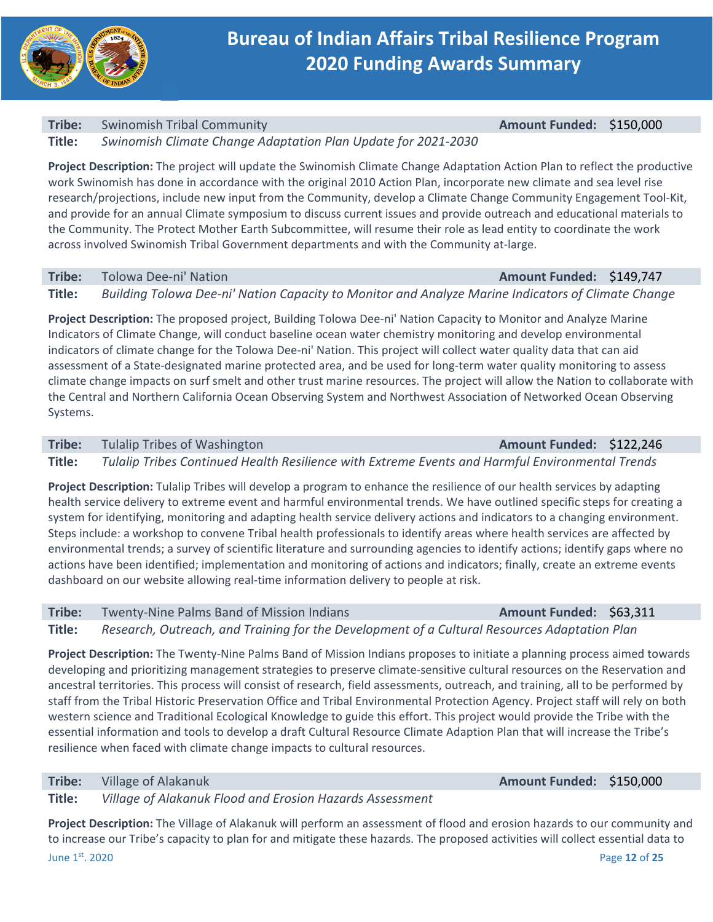

## **Tribe:**  Swinomish Tribal Community **Amount Funded:**  \$150,000

**Title:**  *Swinomish Climate Change Adaptation Plan Update for 2021‐2030* 

**Project Description:** The project will update the Swinomish Climate Change Adaptation Action Plan to reflect the productive work Swinomish has done in accordance with the original 2010 Action Plan, incorporate new climate and sea level rise research/projections, include new input from the Community, develop a Climate Change Community Engagement Tool‐Kit, and provide for an annual Climate symposium to discuss current issues and provide outreach and educational materials to the Community. The Protect Mother Earth Subcommittee, will resume their role as lead entity to coordinate the work across involved Swinomish Tribal Government departments and with the Community at‐large.

### **Tribe:**  Tolowa Dee‐ni' Nation **Amount Funded:**  \$149,747

**Title:**  *Building Tolowa Dee‐ni' Nation Capacity to Monitor and Analyze Marine Indicators of Climate Change* 

**Project Description:** The proposed project, Building Tolowa Dee‐ni' Nation Capacity to Monitor and Analyze Marine Indicators of Climate Change, will conduct baseline ocean water chemistry monitoring and develop environmental indicators of climate change for the Tolowa Dee‐ni' Nation. This project will collect water quality data that can aid assessment of a State‐designated marine protected area, and be used for long‐term water quality monitoring to assess climate change impacts on surf smelt and other trust marine resources. The project will allow the Nation to collaborate with the Central and Northern California Ocean Observing System and Northwest Association of Networked Ocean Observing Systems.

**Tribe:** Tulalip Tribes of Washington **Amount Funded: \$122,246** 

**Title:**  *Tulalip Tribes Continued Health Resilience with Extreme Events and Harmful Environmental Trends* 

**Project Description:** Tulalip Tribes will develop a program to enhance the resilience of our health services by adapting health service delivery to extreme event and harmful environmental trends. We have outlined specific steps for creating a system for identifying, monitoring and adapting health service delivery actions and indicators to a changing environment. Steps include: a workshop to convene Tribal health professionals to identify areas where health services are affected by environmental trends; a survey of scientific literature and surrounding agencies to identify actions; identify gaps where no actions have been identified; implementation and monitoring of actions and indicators; finally, create an extreme events dashboard on our website allowing real‐time information delivery to people at risk.

**Tribe:** Twenty-Nine Palms Band of Mission Indians **Amount Funded: \$63,311** 

**Title:**  *Research, Outreach, and Training for the Development of a Cultural Resources Adaptation Plan* 

**Project Description:** The Twenty‐Nine Palms Band of Mission Indians proposes to initiate a planning process aimed towards developing and prioritizing management strategies to preserve climate‐sensitive cultural resources on the Reservation and ancestral territories. This process will consist of research, field assessments, outreach, and training, all to be performed by staff from the Tribal Historic Preservation Office and Tribal Environmental Protection Agency. Project staff will rely on both western science and Traditional Ecological Knowledge to guide this effort. This project would provide the Tribe with the essential information and tools to develop a draft Cultural Resource Climate Adaption Plan that will increase the Tribe's resilience when faced with climate change impacts to cultural resources.

**Tribe:** Village of Alakanuk *Amount Funded:* **\$150,000 <b>Amount Funded:** \$150,000

**Title:**  *Village of Alakanuk Flood and Erosion Hazards Assessment* 

June 1st. 2020 Page **12** of **25 Project Description:** The Village of Alakanuk will perform an assessment of flood and erosion hazards to our community and to increase our Tribe's capacity to plan for and mitigate these hazards. The proposed activities will collect essential data to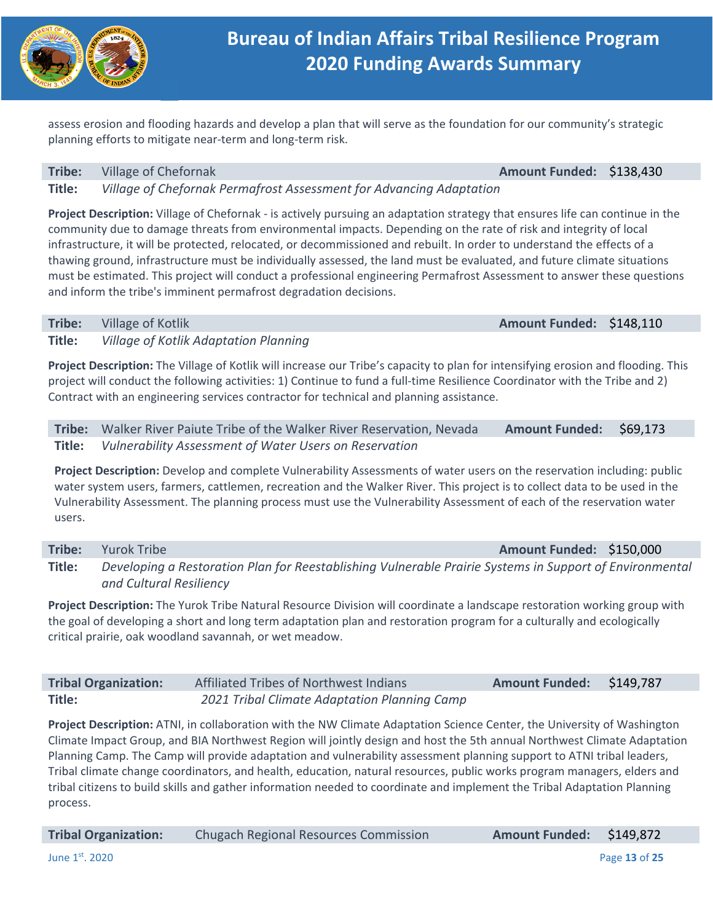

assess erosion and flooding hazards and develop a plan that will serve as the foundation for our community's strategic planning efforts to mitigate near‐term and long‐term risk.

### **Tribe:** Village of Chefornak **Amount Funded: \$138,430 Amount Funded: \$138,430**

**Title:**  *Village of Chefornak Permafrost Assessment for Advancing Adaptation* 

**Project Description:** Village of Chefornak ‐ is actively pursuing an adaptation strategy that ensures life can continue in the community due to damage threats from environmental impacts. Depending on the rate of risk and integrity of local infrastructure, it will be protected, relocated, or decommissioned and rebuilt. In order to understand the effects of a thawing ground, infrastructure must be individually assessed, the land must be evaluated, and future climate situations must be estimated. This project will conduct a professional engineering Permafrost Assessment to answer these questions and inform the tribe's imminent permafrost degradation decisions.

**Tribe:** Village of Kotlik **Amount Funded: \$148,110 Title:**  *Village of Kotlik Adaptation Planning* 

**Project Description:** The Village of Kotlik will increase our Tribe's capacity to plan for intensifying erosion and flooding. This project will conduct the following activities: 1) Continue to fund a full‐time Resilience Coordinator with the Tribe and 2) Contract with an engineering services contractor for technical and planning assistance.

**Tribe:**  Walker River Paiute Tribe of the Walker River Reservation, Nevada **Amount Funded:**  \$69,173 **Title:**  *Vulnerability Assessment of Water Users on Reservation*

**Project Description:** Develop and complete Vulnerability Assessments of water users on the reservation including: public water system users, farmers, cattlemen, recreation and the Walker River. This project is to collect data to be used in the Vulnerability Assessment. The planning process must use the Vulnerability Assessment of each of the reservation water users.

**Tribe:** Yurok Tribe *Amount Funded:* **\$150,000 Title:**  *Developing a Restoration Plan for Reestablishing Vulnerable Prairie Systems in Support of Environmental and Cultural Resiliency* 

**Project Description:** The Yurok Tribe Natural Resource Division will coordinate a landscape restoration working group with the goal of developing a short and long term adaptation plan and restoration program for a culturally and ecologically critical prairie, oak woodland savannah, or wet meadow.

| <b>Tribal Organization:</b> | Affiliated Tribes of Northwest Indians       | Amount Funded: \$149,787 |  |
|-----------------------------|----------------------------------------------|--------------------------|--|
| Title:                      | 2021 Tribal Climate Adaptation Planning Camp |                          |  |

**Project Description:** ATNI, in collaboration with the NW Climate Adaptation Science Center, the University of Washington Climate Impact Group, and BIA Northwest Region will jointly design and host the 5th annual Northwest Climate Adaptation Planning Camp. The Camp will provide adaptation and vulnerability assessment planning support to ATNI tribal leaders, Tribal climate change coordinators, and health, education, natural resources, public works program managers, elders and tribal citizens to build skills and gather information needed to coordinate and implement the Tribal Adaptation Planning process.

| <b>Tribal Organization:</b> | <b>Chugach Regional Resources Commission</b> | Amount Funded: \$149,872 |               |
|-----------------------------|----------------------------------------------|--------------------------|---------------|
| June $1st$ , 2020           |                                              |                          | Page 13 of 25 |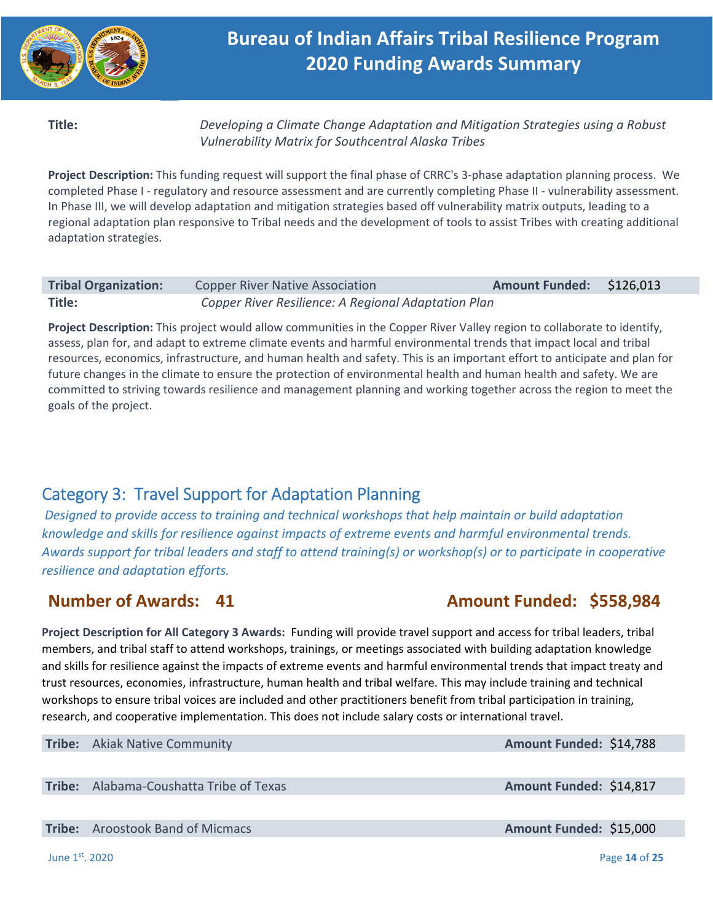

**Title:**  *Developing a Climate Change Adaptation and Mitigation Strategies using a Robust Vulnerability Matrix for Southcentral Alaska Tribes* 

**Project Description:** This funding request will support the final phase of CRRC's 3‐phase adaptation planning process. We completed Phase I - regulatory and resource assessment and are currently completing Phase II - vulnerability assessment. In Phase III, we will develop adaptation and mitigation strategies based off vulnerability matrix outputs, leading to a regional adaptation plan responsive to Tribal needs and the development of tools to assist Tribes with creating additional adaptation strategies.

| <b>Tribal Organization:</b> | <b>Copper River Native Association</b>              | Amount Funded: \$126,013 |  |
|-----------------------------|-----------------------------------------------------|--------------------------|--|
| Title:                      | Copper River Resilience: A Regional Adaptation Plan |                          |  |

**Project Description:** This project would allow communities in the Copper River Valley region to collaborate to identify, assess, plan for, and adapt to extreme climate events and harmful environmental trends that impact local and tribal resources, economics, infrastructure, and human health and safety. This is an important effort to anticipate and plan for future changes in the climate to ensure the protection of environmental health and human health and safety. We are committed to striving towards resilience and management planning and working together across the region to meet the goals of the project.

# Category 3: Travel Support for Adaptation Planning

*Designed to provide access to training and technical workshops that help maintain or build adaptation knowledge and skills for resilience against impacts of extreme events and harmful environmental trends. Awards support for tribal leaders and staff to attend training(s) or workshop(s) or to participate in cooperative resilience and adaptation efforts.* 

# **Number of Awards: 41 Amount Funded: \$558,984**

**Project Description for All Category 3 Awards:** Funding will provide travel support and access for tribal leaders, tribal members, and tribal staff to attend workshops, trainings, or meetings associated with building adaptation knowledge and skills for resilience against the impacts of extreme events and harmful environmental trends that impact treaty and trust resources, economies, infrastructure, human health and tribal welfare. This may include training and technical workshops to ensure tribal voices are included and other practitioners benefit from tribal participation in training, research, and cooperative implementation. This does not include salary costs or international travel.

**Tribe:** Akiak Native Community **Amount Funded: \$14,788** 

**Tribe:** Alabama-Coushatta Tribe of Texas **Amount Funded: \$14,817** 

**Tribe:** Aroostook Band of Micmacs **Amount Funded: \$15,000 Amount Funded: \$15,000** 

June 1st. 2020 Page **14** of **25**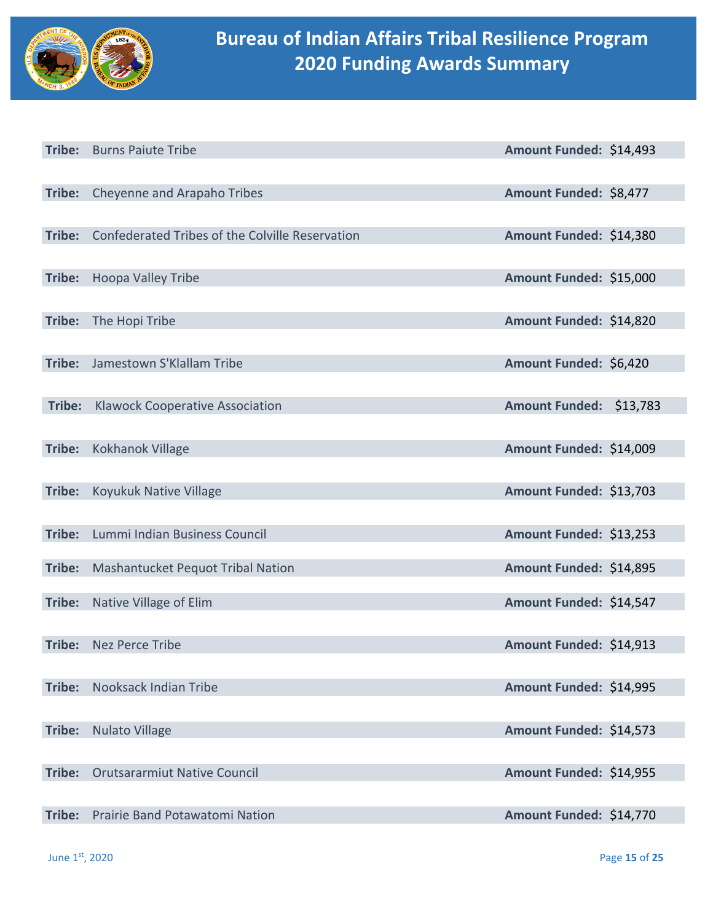

|        | Tribe: Burns Paiute Tribe                       | Amount Funded: \$14,493 |  |
|--------|-------------------------------------------------|-------------------------|--|
|        |                                                 |                         |  |
|        | Tribe: Cheyenne and Arapaho Tribes              | Amount Funded: \$8,477  |  |
|        |                                                 |                         |  |
| Tribe: | Confederated Tribes of the Colville Reservation | Amount Funded: \$14,380 |  |
|        |                                                 |                         |  |
| Tribe: | Hoopa Valley Tribe                              | Amount Funded: \$15,000 |  |
|        |                                                 |                         |  |
| Tribe: | The Hopi Tribe                                  | Amount Funded: \$14,820 |  |
|        |                                                 |                         |  |
| Tribe: | Jamestown S'Klallam Tribe                       | Amount Funded: \$6,420  |  |
|        |                                                 |                         |  |
| Tribe: | <b>Klawock Cooperative Association</b>          | Amount Funded: \$13,783 |  |
|        |                                                 |                         |  |
| Tribe: | Kokhanok Village                                | Amount Funded: \$14,009 |  |
|        |                                                 |                         |  |
| Tribe: | Koyukuk Native Village                          | Amount Funded: \$13,703 |  |
|        |                                                 |                         |  |
| Tribe: | Lummi Indian Business Council                   | Amount Funded: \$13,253 |  |
|        |                                                 |                         |  |
| Tribe: | Mashantucket Pequot Tribal Nation               | Amount Funded: \$14,895 |  |
| Tribe: | Native Village of Elim                          | Amount Funded: \$14,547 |  |
|        |                                                 |                         |  |
| Tribe: | <b>Nez Perce Tribe</b>                          | Amount Funded: \$14,913 |  |
|        |                                                 |                         |  |
| Tribe: | Nooksack Indian Tribe                           | Amount Funded: \$14,995 |  |
|        |                                                 |                         |  |
| Tribe: | <b>Nulato Village</b>                           | Amount Funded: \$14,573 |  |
|        |                                                 |                         |  |
| Tribe: | <b>Orutsararmiut Native Council</b>             | Amount Funded: \$14,955 |  |
|        |                                                 |                         |  |
| Tribe: | Prairie Band Potawatomi Nation                  | Amount Funded: \$14,770 |  |
|        |                                                 |                         |  |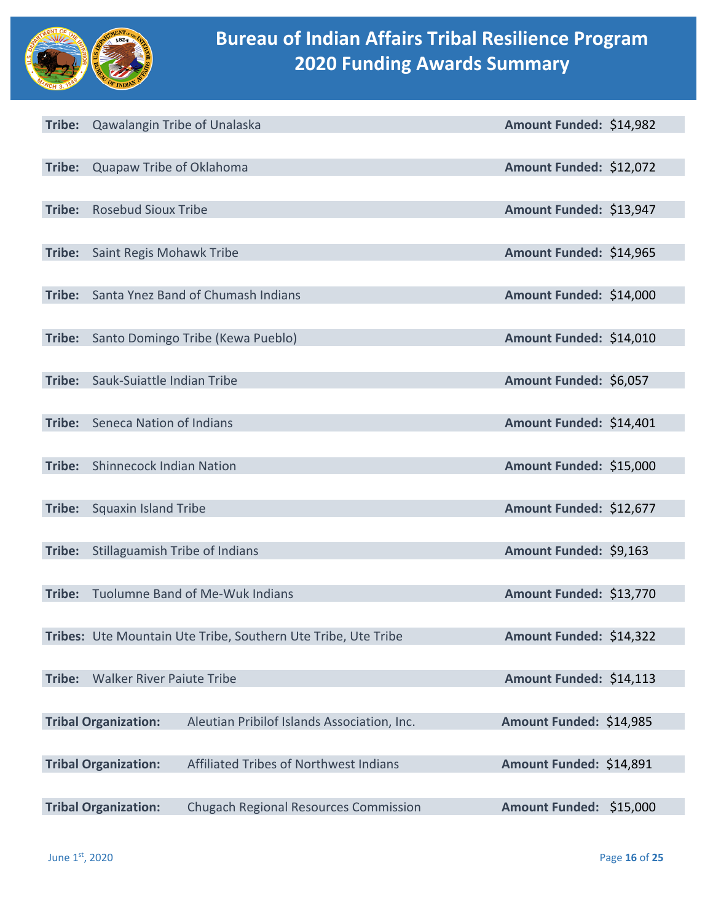

|        | Tribe: Qawalangin Tribe of Unalaska |                                                               | Amount Funded: \$14,982 |          |
|--------|-------------------------------------|---------------------------------------------------------------|-------------------------|----------|
|        |                                     |                                                               |                         |          |
| Tribe: | Quapaw Tribe of Oklahoma            |                                                               | Amount Funded: \$12,072 |          |
|        |                                     |                                                               |                         |          |
| Tribe: | <b>Rosebud Sioux Tribe</b>          |                                                               | Amount Funded: \$13,947 |          |
| Tribe: | Saint Regis Mohawk Tribe            |                                                               | Amount Funded: \$14,965 |          |
|        |                                     |                                                               |                         |          |
| Tribe: |                                     | Santa Ynez Band of Chumash Indians                            | Amount Funded: \$14,000 |          |
|        |                                     |                                                               |                         |          |
| Tribe: |                                     | Santo Domingo Tribe (Kewa Pueblo)                             | Amount Funded: \$14,010 |          |
|        |                                     |                                                               |                         |          |
| Tribe: | Sauk-Suiattle Indian Tribe          |                                                               | Amount Funded: \$6,057  |          |
| Tribe: | Seneca Nation of Indians            |                                                               | Amount Funded: \$14,401 |          |
|        |                                     |                                                               |                         |          |
| Tribe: | <b>Shinnecock Indian Nation</b>     |                                                               | Amount Funded: \$15,000 |          |
|        |                                     |                                                               |                         |          |
| Tribe: | <b>Squaxin Island Tribe</b>         |                                                               | Amount Funded: \$12,677 |          |
|        |                                     |                                                               |                         |          |
| Tribe: | Stillaguamish Tribe of Indians      |                                                               | Amount Funded: \$9,163  |          |
| Tribe: |                                     | Tuolumne Band of Me-Wuk Indians                               | Amount Funded: \$13,770 |          |
|        |                                     |                                                               |                         |          |
|        |                                     | Tribes: Ute Mountain Ute Tribe, Southern Ute Tribe, Ute Tribe | Amount Funded: \$14,322 |          |
|        |                                     |                                                               |                         |          |
| Tribe: | <b>Walker River Paiute Tribe</b>    |                                                               | Amount Funded: \$14,113 |          |
|        | <b>Tribal Organization:</b>         | Aleutian Pribilof Islands Association, Inc.                   | Amount Funded: \$14,985 |          |
|        |                                     |                                                               |                         |          |
|        | <b>Tribal Organization:</b>         | Affiliated Tribes of Northwest Indians                        | Amount Funded: \$14,891 |          |
|        |                                     |                                                               |                         |          |
|        | <b>Tribal Organization:</b>         | <b>Chugach Regional Resources Commission</b>                  | <b>Amount Funded:</b>   | \$15,000 |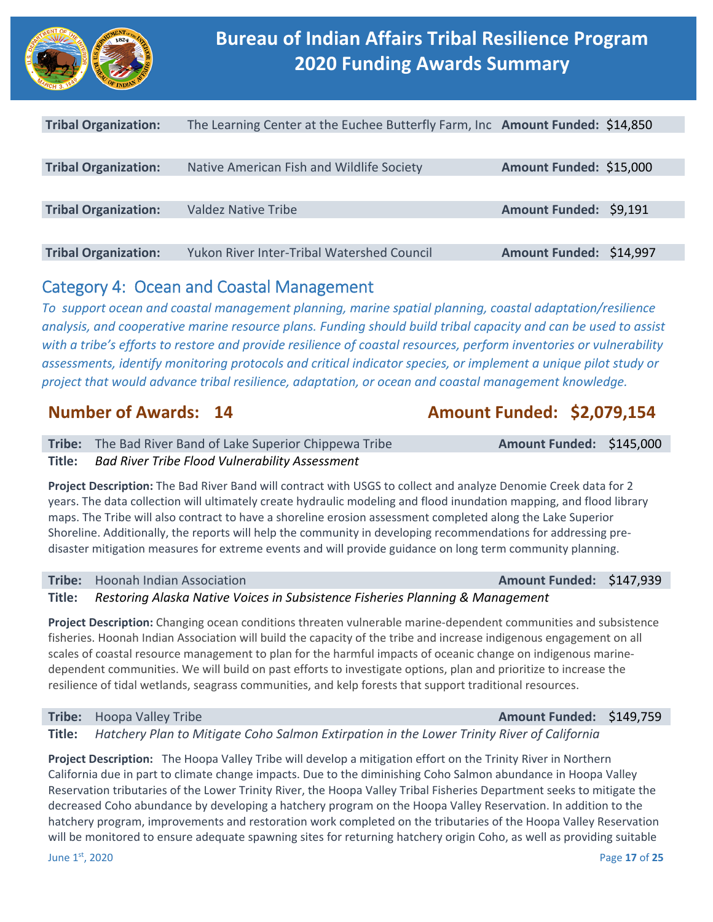

| <b>Tribal Organization:</b> | The Learning Center at the Euchee Butterfly Farm, Inc Amount Funded: \$14,850 |                         |  |
|-----------------------------|-------------------------------------------------------------------------------|-------------------------|--|
|                             |                                                                               |                         |  |
| <b>Tribal Organization:</b> | Native American Fish and Wildlife Society                                     | Amount Funded: \$15,000 |  |
|                             |                                                                               |                         |  |
| <b>Tribal Organization:</b> | Valdez Native Tribe                                                           | Amount Funded: \$9,191  |  |
|                             |                                                                               |                         |  |
| <b>Tribal Organization:</b> | <b>Yukon River Inter-Tribal Watershed Council</b>                             | Amount Funded: \$14,997 |  |

## Category 4: Ocean and Coastal Management

*To support ocean and coastal management planning, marine spatial planning, coastal adaptation/resilience analysis, and cooperative marine resource plans. Funding should build tribal capacity and can be used to assist with a tribe's efforts to restore and provide resilience of coastal resources, perform inventories or vulnerability assessments, identify monitoring protocols and critical indicator species, or implement a unique pilot study or project that would advance tribal resilience, adaptation, or ocean and coastal management knowledge.* 

## **Number of Awards: 14 Amount Funded: \$2,079,154**

| <b>Tribe:</b> The Bad River Band of Lake Superior Chippewa Tribe | Amount Funded: \$145,000 |  |
|------------------------------------------------------------------|--------------------------|--|
| Title: Bad River Tribe Flood Vulnerability Assessment            |                          |  |

**Project Description:** The Bad River Band will contract with USGS to collect and analyze Denomie Creek data for 2 years. The data collection will ultimately create hydraulic modeling and flood inundation mapping, and flood library maps. The Tribe will also contract to have a shoreline erosion assessment completed along the Lake Superior Shoreline. Additionally, the reports will help the community in developing recommendations for addressing pre‐ disaster mitigation measures for extreme events and will provide guidance on long term community planning.

## **Tribe:** Hoonah Indian Association *Amount Funded: \$147,939*

**Title:**  *Restoring Alaska Native Voices in Subsistence Fisheries Planning & Management* 

**Project Description:** Changing ocean conditions threaten vulnerable marine‐dependent communities and subsistence fisheries. Hoonah Indian Association will build the capacity of the tribe and increase indigenous engagement on all scales of coastal resource management to plan for the harmful impacts of oceanic change on indigenous marine‐ dependent communities. We will build on past efforts to investigate options, plan and prioritize to increase the resilience of tidal wetlands, seagrass communities, and kelp forests that support traditional resources.

## **Tribe:** Hoopa Valley Tribe **Amount Funded: \$149,759**

**Title:**  *Hatchery Plan to Mitigate Coho Salmon Extirpation in the Lower Trinity River of California* 

**Project Description:**  The Hoopa Valley Tribe will develop a mitigation effort on the Trinity River in Northern California due in part to climate change impacts. Due to the diminishing Coho Salmon abundance in Hoopa Valley Reservation tributaries of the Lower Trinity River, the Hoopa Valley Tribal Fisheries Department seeks to mitigate the decreased Coho abundance by developing a hatchery program on the Hoopa Valley Reservation. In addition to the hatchery program, improvements and restoration work completed on the tributaries of the Hoopa Valley Reservation will be monitored to ensure adequate spawning sites for returning hatchery origin Coho, as well as providing suitable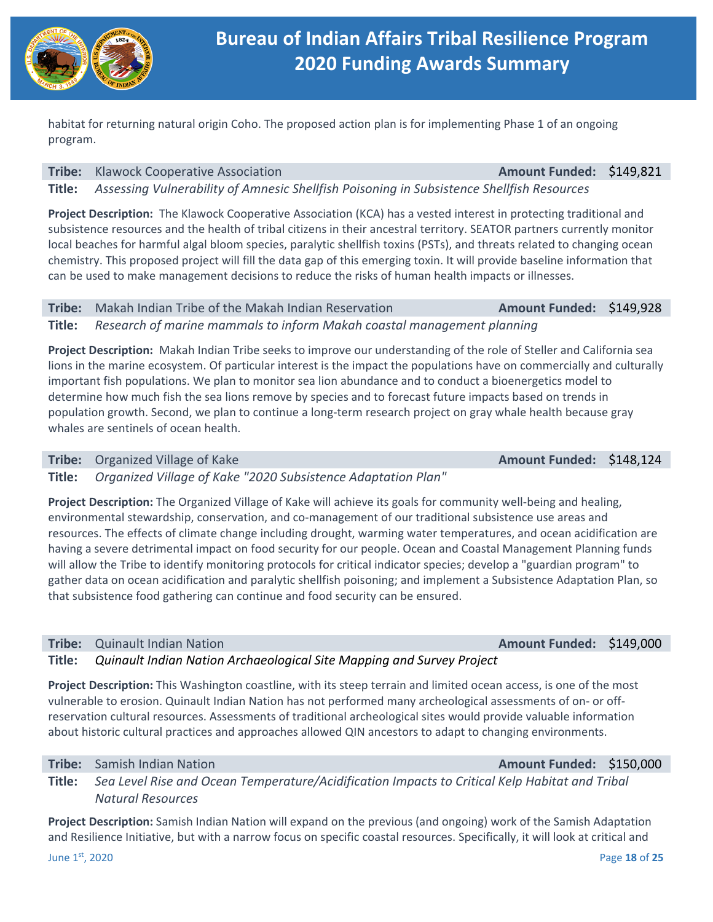

habitat for returning natural origin Coho. The proposed action plan is for implementing Phase 1 of an ongoing program.

### **Tribe:** Klawock Cooperative Association **Amount Funded: \$149,821**

**Title:**  *Assessing Vulnerability of Amnesic Shellfish Poisoning in Subsistence Shellfish Resources* 

Project Description: The Klawock Cooperative Association (KCA) has a vested interest in protecting traditional and subsistence resources and the health of tribal citizens in their ancestral territory. SEATOR partners currently monitor local beaches for harmful algal bloom species, paralytic shellfish toxins (PSTs), and threats related to changing ocean chemistry. This proposed project will fill the data gap of this emerging toxin. It will provide baseline information that can be used to make management decisions to reduce the risks of human health impacts or illnesses.

## **Tribe:** Makah Indian Tribe of the Makah Indian Reservation **Amount Funded: \$149,928**

**Title:**  *Research of marine mammals to inform Makah coastal management planning* 

**Project Description:** Makah Indian Tribe seeks to improve our understanding of the role of Steller and California sea lions in the marine ecosystem. Of particular interest is the impact the populations have on commercially and culturally important fish populations. We plan to monitor sea lion abundance and to conduct a bioenergetics model to determine how much fish the sea lions remove by species and to forecast future impacts based on trends in population growth. Second, we plan to continue a long‐term research project on gray whale health because gray whales are sentinels of ocean health.

## **Tribe:** Organized Village of Kake *Amount Funded:* **\$148,124**

**Title:**  *Organized Village of Kake "2020 Subsistence Adaptation Plan"* 

**Project Description:** The Organized Village of Kake will achieve its goals for community well‐being and healing, environmental stewardship, conservation, and co-management of our traditional subsistence use areas and resources. The effects of climate change including drought, warming water temperatures, and ocean acidification are having a severe detrimental impact on food security for our people. Ocean and Coastal Management Planning funds will allow the Tribe to identify monitoring protocols for critical indicator species; develop a "guardian program" to gather data on ocean acidification and paralytic shellfish poisoning; and implement a Subsistence Adaptation Plan, so that subsistence food gathering can continue and food security can be ensured.

## **Tribe:** Quinault Indian Nation **Amount Funded: \$149,000**

## **Title:**  *Quinault Indian Nation Archaeological Site Mapping and Survey Project*

**Project Description:** This Washington coastline, with its steep terrain and limited ocean access, is one of the most vulnerable to erosion. Quinault Indian Nation has not performed many archeological assessments of on‐ or off‐ reservation cultural resources. Assessments of traditional archeological sites would provide valuable information about historic cultural practices and approaches allowed QIN ancestors to adapt to changing environments.

## **Tribe:** Samish Indian Nation **Amount Funded: \$150,000**

**Title:**  *Sea Level Rise and Ocean Temperature/Acidification Impacts to Critical Kelp Habitat and Tribal Natural Resources* 

**Project Description:** Samish Indian Nation will expand on the previous (and ongoing) work of the Samish Adaptation and Resilience Initiative, but with a narrow focus on specific coastal resources. Specifically, it will look at critical and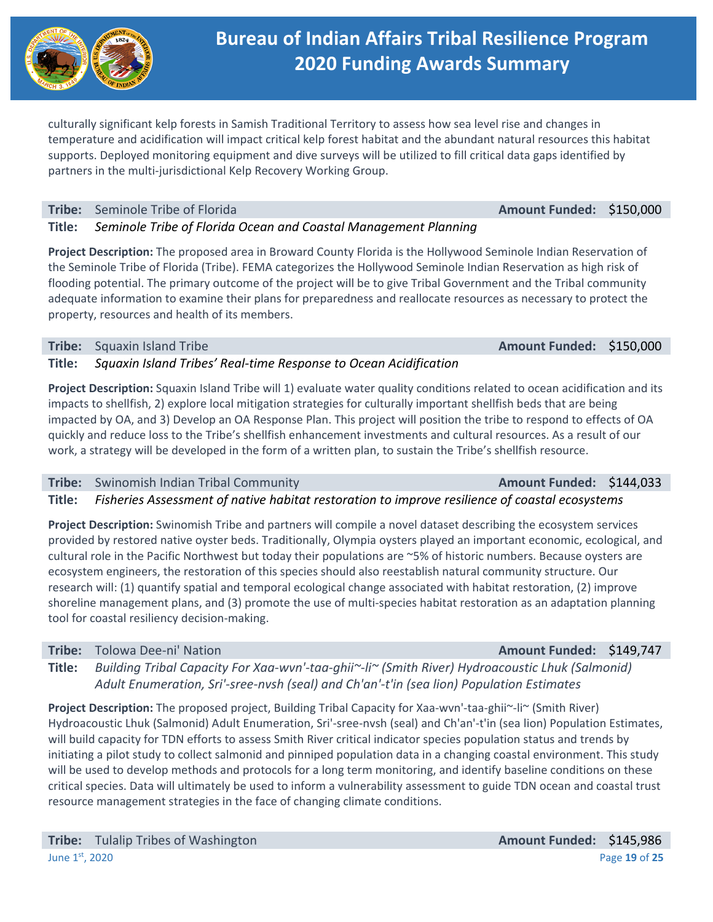culturally significant kelp forests in Samish Traditional Territory to assess how sea level rise and changes in temperature and acidification will impact critical kelp forest habitat and the abundant natural resources this habitat supports. Deployed monitoring equipment and dive surveys will be utilized to fill critical data gaps identified by partners in the multi-jurisdictional Kelp Recovery Working Group.

**Tribe:** Seminole Tribe of Florida **Amount Funded: \$150,000 Amount Funded: \$150,000** 

**Title:**  *Seminole Tribe of Florida Ocean and Coastal Management Planning*

**Project Description:** The proposed area in Broward County Florida is the Hollywood Seminole Indian Reservation of the Seminole Tribe of Florida (Tribe). FEMA categorizes the Hollywood Seminole Indian Reservation as high risk of flooding potential. The primary outcome of the project will be to give Tribal Government and the Tribal community adequate information to examine their plans for preparedness and reallocate resources as necessary to protect the property, resources and health of its members.

**Tribe:**  Squaxin Island Tribe **Amount Funded:**  \$150,000

**Title:**  *Squaxin Island Tribes' Real‐time Response to Ocean Acidification* 

**Project Description:** Squaxin Island Tribe will 1) evaluate water quality conditions related to ocean acidification and its impacts to shellfish, 2) explore local mitigation strategies for culturally important shellfish beds that are being impacted by OA, and 3) Develop an OA Response Plan. This project will position the tribe to respond to effects of OA quickly and reduce loss to the Tribe's shellfish enhancement investments and cultural resources. As a result of our work, a strategy will be developed in the form of a written plan, to sustain the Tribe's shellfish resource.

## **Tribe:** Swinomish Indian Tribal Community **Amount Funded: \$144,033 Amount Funded: \$144,033**

**Title:**  *Fisheries Assessment of native habitat restoration to improve resilience of coastal ecosystems* 

**Project Description:** Swinomish Tribe and partners will compile a novel dataset describing the ecosystem services provided by restored native oyster beds. Traditionally, Olympia oysters played an important economic, ecological, and cultural role in the Pacific Northwest but today their populations are ~5% of historic numbers. Because oysters are ecosystem engineers, the restoration of this species should also reestablish natural community structure. Our research will: (1) quantify spatial and temporal ecological change associated with habitat restoration, (2) improve shoreline management plans, and (3) promote the use of multi-species habitat restoration as an adaptation planning tool for coastal resiliency decision‐making.

**Tribe:** Tolowa Dee-ni' Nation **Amount Funded: \$149,747** 

**Title:**  *Building Tribal Capacity For Xaa‐wvn'‐taa‐ghii~‐li~ (Smith River) Hydroacoustic Lhuk (Salmonid) Adult Enumeration, Sri'‐sree‐nvsh (seal) and Ch'an'‐t'in (sea lion) Population Estimates* 

**Project Description:** The proposed project, Building Tribal Capacity for Xaa-wvn'-taa-ghii~-li~ (Smith River) Hydroacoustic Lhuk (Salmonid) Adult Enumeration, Sri'‐sree‐nvsh (seal) and Ch'an'‐t'in (sea lion) Population Estimates, will build capacity for TDN efforts to assess Smith River critical indicator species population status and trends by initiating a pilot study to collect salmonid and pinniped population data in a changing coastal environment. This study will be used to develop methods and protocols for a long term monitoring, and identify baseline conditions on these critical species. Data will ultimately be used to inform a vulnerability assessment to guide TDN ocean and coastal trust resource management strategies in the face of changing climate conditions.

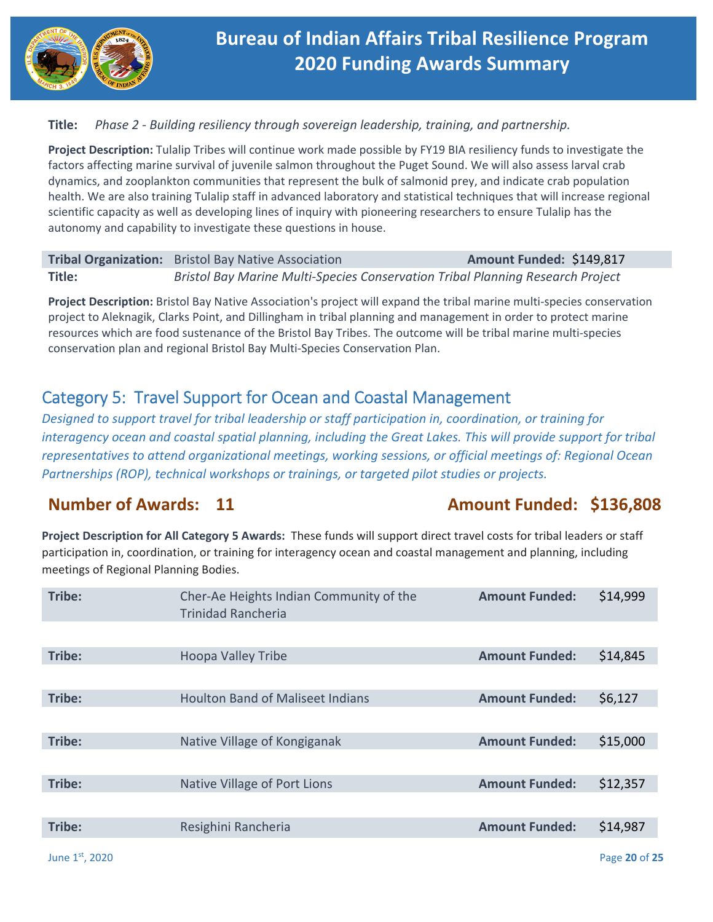

## **Title:**  *Phase 2 ‐ Building resiliency through sovereign leadership, training, and partnership.*

**Project Description:** Tulalip Tribes will continue work made possible by FY19 BIA resiliency funds to investigate the factors affecting marine survival of juvenile salmon throughout the Puget Sound. We will also assess larval crab dynamics, and zooplankton communities that represent the bulk of salmonid prey, and indicate crab population health. We are also training Tulalip staff in advanced laboratory and statistical techniques that will increase regional scientific capacity as well as developing lines of inquiry with pioneering researchers to ensure Tulalip has the autonomy and capability to investigate these questions in house.

## **Tribal Organization:** Bristol Bay Native Association **Amount Funded: \$149,817 Title:**  *Bristol Bay Marine Multi‐Species Conservation Tribal Planning Research Project*

**Project Description:** Bristol Bay Native Association's project will expand the tribal marine multi‐species conservation project to Aleknagik, Clarks Point, and Dillingham in tribal planning and management in order to protect marine resources which are food sustenance of the Bristol Bay Tribes. The outcome will be tribal marine multi‐species conservation plan and regional Bristol Bay Multi‐Species Conservation Plan.

# Category 5: Travel Support for Ocean and Coastal Management

*Designed to support travel for tribal leadership or staff participation in, coordination, or training for interagency ocean and coastal spatial planning, including the Great Lakes. This will provide support for tribal representatives to attend organizational meetings, working sessions, or official meetings of: Regional Ocean Partnerships (ROP), technical workshops or trainings, or targeted pilot studies or projects.* 

## **Number of Awards: 11 Amount Funded: \$136,808**

**Project Description for All Category 5 Awards:** These funds will support direct travel costs for tribal leaders or staff participation in, coordination, or training for interagency ocean and coastal management and planning, including meetings of Regional Planning Bodies.

| Tribe: | Cher-Ae Heights Indian Community of the<br><b>Trinidad Rancheria</b> | <b>Amount Funded:</b> | \$14,999 |
|--------|----------------------------------------------------------------------|-----------------------|----------|
|        |                                                                      |                       |          |
| Tribe: | <b>Hoopa Valley Tribe</b>                                            | <b>Amount Funded:</b> | \$14,845 |
|        |                                                                      |                       |          |
| Tribe: | <b>Houlton Band of Maliseet Indians</b>                              | <b>Amount Funded:</b> | \$6,127  |
|        |                                                                      |                       |          |
| Tribe: | Native Village of Kongiganak                                         | <b>Amount Funded:</b> | \$15,000 |
|        |                                                                      |                       |          |
| Tribe: | Native Village of Port Lions                                         | <b>Amount Funded:</b> | \$12,357 |
|        |                                                                      |                       |          |
| Tribe: | Resighini Rancheria                                                  | <b>Amount Funded:</b> | \$14,987 |
|        |                                                                      |                       |          |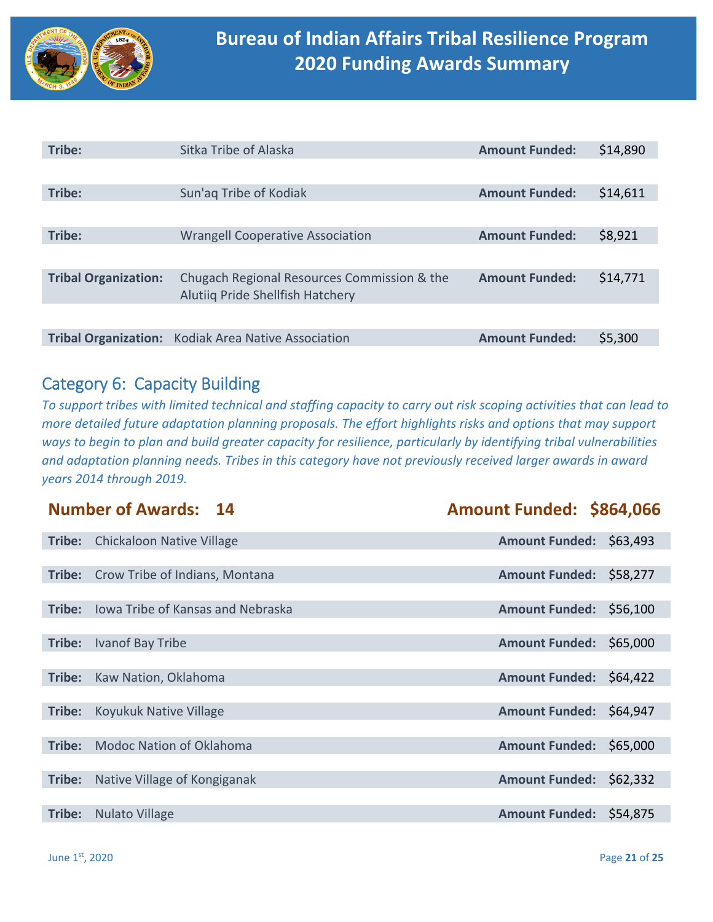

| Tribe:                      | Sitka Tribe of Alaska                                                           | <b>Amount Funded:</b> | \$14,890 |
|-----------------------------|---------------------------------------------------------------------------------|-----------------------|----------|
|                             |                                                                                 |                       |          |
| Tribe:                      | Sun'ag Tribe of Kodiak                                                          | <b>Amount Funded:</b> | \$14,611 |
|                             |                                                                                 |                       |          |
| Tribe:                      | <b>Wrangell Cooperative Association</b>                                         | <b>Amount Funded:</b> | \$8,921  |
|                             |                                                                                 |                       |          |
| <b>Tribal Organization:</b> | Chugach Regional Resources Commission & the<br>Alutiiq Pride Shellfish Hatchery | <b>Amount Funded:</b> | \$14,771 |
|                             |                                                                                 |                       |          |
| <b>Tribal Organization:</b> | <b>Kodiak Area Native Association</b>                                           | <b>Amount Funded:</b> | \$5,300  |

## Category 6: Capacity Building

*To support tribes with limited technical and staffing capacity to carry out risk scoping activities that can lead to more detailed future adaptation planning proposals. The effort highlights risks and options that may support ways to begin to plan and build greater capacity for resilience, particularly by identifying tribal vulnerabilities and adaptation planning needs. Tribes in this category have not previously received larger awards in award years 2014 through 2019.* 

|        | <b>Number of Awards: 14</b>              | Amount Funded: \$864,066          |
|--------|------------------------------------------|-----------------------------------|
| Tribe: | <b>Chickaloon Native Village</b>         | Amount Funded: \$63,493           |
|        |                                          |                                   |
| Tribe: | Crow Tribe of Indians, Montana           | <b>Amount Funded:</b><br>\$58,277 |
|        |                                          |                                   |
| Tribe: | <b>Iowa Tribe of Kansas and Nebraska</b> | <b>Amount Funded:</b><br>\$56,100 |
|        |                                          |                                   |
| Tribe: | Ivanof Bay Tribe                         | \$65,000<br><b>Amount Funded:</b> |
|        |                                          |                                   |
| Tribe: | Kaw Nation, Oklahoma                     | Amount Funded: \$64,422           |
|        |                                          |                                   |
| Tribe: | Koyukuk Native Village                   | Amount Funded: \$64,947           |
|        |                                          |                                   |
| Tribe: | <b>Modoc Nation of Oklahoma</b>          | <b>Amount Funded:</b><br>\$65,000 |
|        |                                          |                                   |
| Tribe: | Native Village of Kongiganak             | <b>Amount Funded:</b><br>\$62,332 |
|        |                                          |                                   |
| Tribe: | <b>Nulato Village</b>                    | Amount Funded: \$54,875           |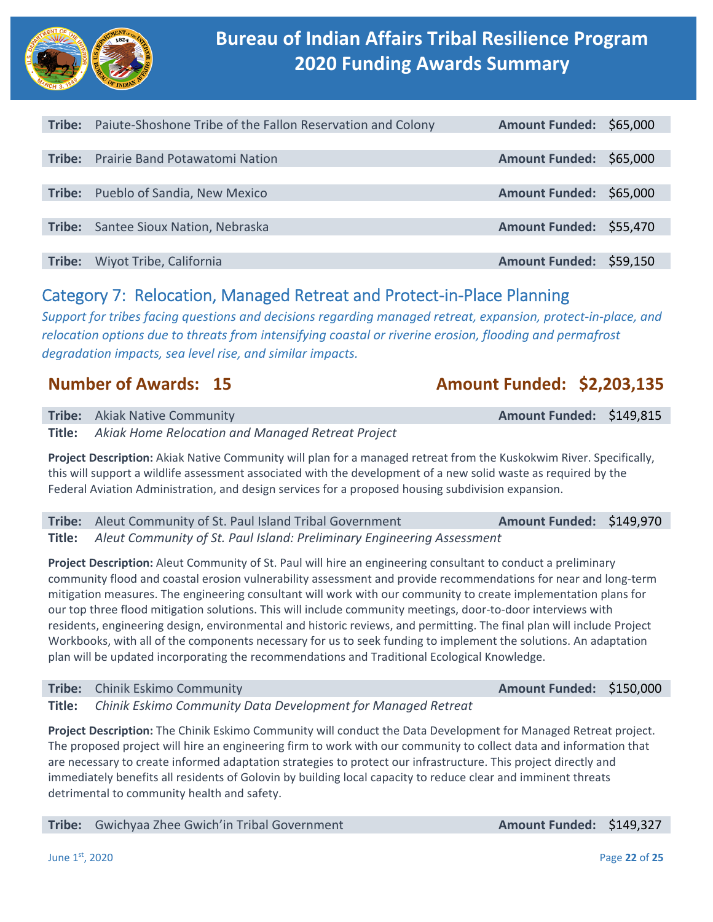

| Tribe: | Paiute-Shoshone Tribe of the Fallon Reservation and Colony | Amount Funded: \$65,000 |  |
|--------|------------------------------------------------------------|-------------------------|--|
|        |                                                            |                         |  |
| Tribe: | <b>Prairie Band Potawatomi Nation</b>                      | Amount Funded: \$65,000 |  |
|        |                                                            |                         |  |
| Tribe: | Pueblo of Sandia, New Mexico                               | Amount Funded: \$65,000 |  |
|        |                                                            |                         |  |
| Tribe: | Santee Sioux Nation, Nebraska                              | Amount Funded: \$55,470 |  |
|        |                                                            |                         |  |
| Tribe: | Wiyot Tribe, California                                    | Amount Funded: \$59,150 |  |

## Category 7: Relocation, Managed Retreat and Protect‐in‐Place Planning

*Support for tribes facing questions and decisions regarding managed retreat, expansion, protect‐in‐place, and relocation options due to threats from intensifying coastal or riverine erosion, flooding and permafrost degradation impacts, sea level rise, and similar impacts.* 

# **Number of Awards: 15 Amount Funded: \$2,203,135**

| <b>Tribe:</b> Akiak Native Community                            | Amount Funded: \$149,815 |  |
|-----------------------------------------------------------------|--------------------------|--|
| <b>Title:</b> Akiak Home Relocation and Managed Retreat Project |                          |  |

**Project Description:** Akiak Native Community will plan for a managed retreat from the Kuskokwim River. Specifically, this will support a wildlife assessment associated with the development of a new solid waste as required by the Federal Aviation Administration, and design services for a proposed housing subdivision expansion.

| Tribe: Aleut Community of St. Paul Island Tribal Government                   | Amount Funded: \$149,970 |  |
|-------------------------------------------------------------------------------|--------------------------|--|
| Title: Aleut Community of St. Paul Island: Preliminary Engineering Assessment |                          |  |

**Project Description:** Aleut Community of St. Paul will hire an engineering consultant to conduct a preliminary community flood and coastal erosion vulnerability assessment and provide recommendations for near and long‐term mitigation measures. The engineering consultant will work with our community to create implementation plans for our top three flood mitigation solutions. This will include community meetings, door-to-door interviews with residents, engineering design, environmental and historic reviews, and permitting. The final plan will include Project Workbooks, with all of the components necessary for us to seek funding to implement the solutions. An adaptation plan will be updated incorporating the recommendations and Traditional Ecological Knowledge.

**Tribe:** Chinik Eskimo Community **Amount Funded: \$150,000 Title:**  *Chinik Eskimo Community Data Development for Managed Retreat* 

**Project Description:** The Chinik Eskimo Community will conduct the Data Development for Managed Retreat project. The proposed project will hire an engineering firm to work with our community to collect data and information that are necessary to create informed adaptation strategies to protect our infrastructure. This project directly and immediately benefits all residents of Golovin by building local capacity to reduce clear and imminent threats detrimental to community health and safety.

**Tribe:** Gwichyaa Zhee Gwich'in Tribal Government **Amount Funded: \$149,327**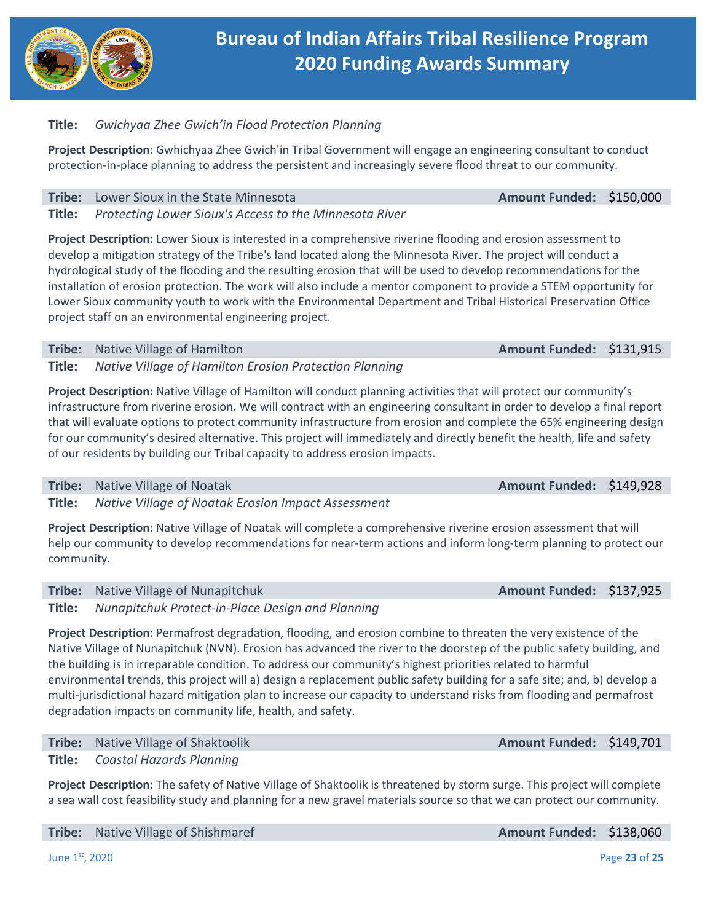

## **Title:**  *Gwichyaa Zhee Gwich'in Flood Protection Planning*

**Project Description:** Gwhichyaa Zhee Gwich'in Tribal Government will engage an engineering consultant to conduct protection‐in‐place planning to address the persistent and increasingly severe flood threat to our community.

## **Tribe:** Lower Sioux in the State Minnesota **Amount Funded: \$150,000**

**Title:**  *Protecting Lower Sioux's Access to the Minnesota River* 

**Project Description:** Lower Sioux is interested in a comprehensive riverine flooding and erosion assessment to develop a mitigation strategy of the Tribe's land located along the Minnesota River. The project will conduct a hydrological study of the flooding and the resulting erosion that will be used to develop recommendations for the installation of erosion protection. The work will also include a mentor component to provide a STEM opportunity for Lower Sioux community youth to work with the Environmental Department and Tribal Historical Preservation Office project staff on an environmental engineering project.

## **Tribe:** Native Village of Hamilton *Amount Funded:* **\$131,915**

**Title:**  *Native Village of Hamilton Erosion Protection Planning* 

**Project Description:** Native Village of Hamilton will conduct planning activities that will protect our community's infrastructure from riverine erosion. We will contract with an engineering consultant in order to develop a final report that will evaluate options to protect community infrastructure from erosion and complete the 65% engineering design for our community's desired alternative. This project will immediately and directly benefit the health, life and safety of our residents by building our Tribal capacity to address erosion impacts.

### **Tribe:**  Native Village of Noatak **Amount Funded:**  \$149,928

**Title:**  *Native Village of Noatak Erosion Impact Assessment* 

**Project Description:** Native Village of Noatak will complete a comprehensive riverine erosion assessment that will help our community to develop recommendations for near-term actions and inform long-term planning to protect our community.

### **Tribe:** Native Village of Nunapitchuk **Amount Funded: \$137,925**

**Title:**  *Nunapitchuk Protect‐in‐Place Design and Planning* 

**Project Description:** Permafrost degradation, flooding, and erosion combine to threaten the very existence of the Native Village of Nunapitchuk (NVN). Erosion has advanced the river to the doorstep of the public safety building, and the building is in irreparable condition. To address our community's highest priorities related to harmful environmental trends, this project will a) design a replacement public safety building for a safe site; and, b) develop a multi-jurisdictional hazard mitigation plan to increase our capacity to understand risks from flooding and permafrost degradation impacts on community life, health, and safety.

**Tribe:** Native Village of Shaktoolik **Amount Funded: \$149,701** 

**Title:**  *Coastal Hazards Planning* 

**Project Description:** The safety of Native Village of Shaktoolik is threatened by storm surge. This project will complete a sea wall cost feasibility study and planning for a new gravel materials source so that we can protect our community.

**Tribe:** Native Village of Shishmaref **Amount Funded: \$138,060 Amount Funded: \$138,060**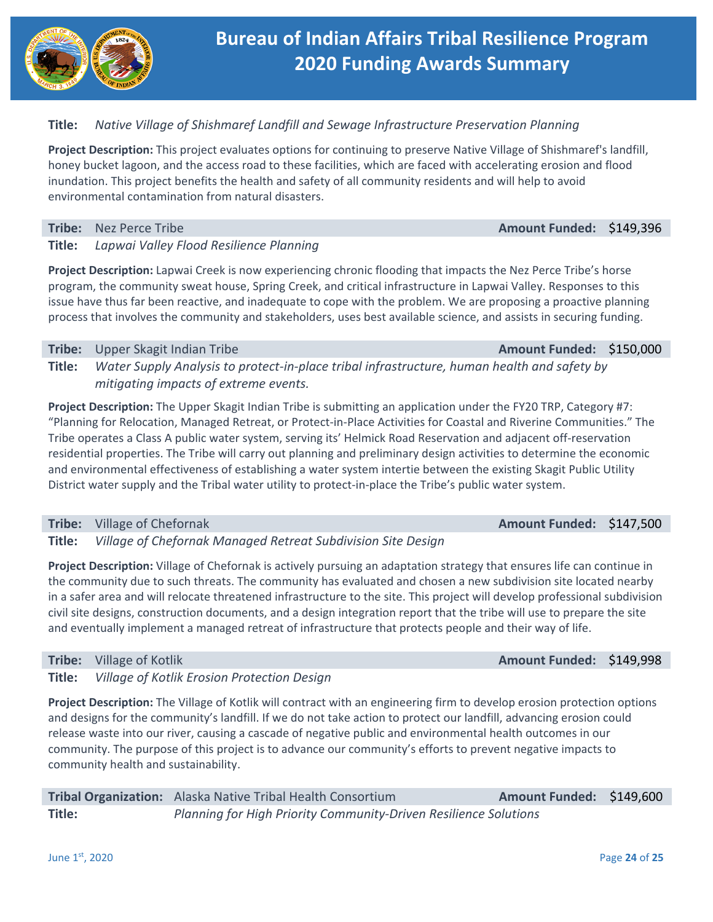

## **Title:**  *Native Village of Shishmaref Landfill and Sewage Infrastructure Preservation Planning*

**Project Description:** This project evaluates options for continuing to preserve Native Village of Shishmaref's landfill, honey bucket lagoon, and the access road to these facilities, which are faced with accelerating erosion and flood inundation. This project benefits the health and safety of all community residents and will help to avoid environmental contamination from natural disasters.

**Tribe:**  Nez Perce Tribe **Amount Funded:**  \$149,396

## **Title:**  *Lapwai Valley Flood Resilience Planning*

**Project Description:** Lapwai Creek is now experiencing chronic flooding that impacts the Nez Perce Tribe's horse program, the community sweat house, Spring Creek, and critical infrastructure in Lapwai Valley. Responses to this issue have thus far been reactive, and inadequate to cope with the problem. We are proposing a proactive planning process that involves the community and stakeholders, uses best available science, and assists in securing funding.

### **Tribe:** Upper Skagit Indian Tribe **Amount Funded: \$150,000 Amount Funded: \$150,000**

**Title:**  *Water Supply Analysis to protect‐in‐place tribal infrastructure, human health and safety by mitigating impacts of extreme events.* 

**Project Description:** The Upper Skagit Indian Tribe is submitting an application under the FY20 TRP, Category #7: "Planning for Relocation, Managed Retreat, or Protect‐in‐Place Activities for Coastal and Riverine Communities." The Tribe operates a Class A public water system, serving its' Helmick Road Reservation and adjacent off‐reservation residential properties. The Tribe will carry out planning and preliminary design activities to determine the economic and environmental effectiveness of establishing a water system intertie between the existing Skagit Public Utility District water supply and the Tribal water utility to protect-in-place the Tribe's public water system.

## **Tribe:** Village of Chefornak **Amount Funded: \$147,500**

**Title:**  *Village of Chefornak Managed Retreat Subdivision Site Design* 

**Project Description:** Village of Chefornak is actively pursuing an adaptation strategy that ensures life can continue in the community due to such threats. The community has evaluated and chosen a new subdivision site located nearby in a safer area and will relocate threatened infrastructure to the site. This project will develop professional subdivision civil site designs, construction documents, and a design integration report that the tribe will use to prepare the site and eventually implement a managed retreat of infrastructure that protects people and their way of life.

### **Tribe:** Village of Kotlik *Amount Funded:* **\$149,998 <b>Amount Funded: \$149,998**

**Title:**  *Village of Kotlik Erosion Protection Design* 

**Project Description:** The Village of Kotlik will contract with an engineering firm to develop erosion protection options and designs for the community's landfill. If we do not take action to protect our landfill, advancing erosion could release waste into our river, causing a cascade of negative public and environmental health outcomes in our community. The purpose of this project is to advance our community's efforts to prevent negative impacts to community health and sustainability.

|        | Tribal Organization: Alaska Native Tribal Health Consortium      | Amount Funded: \$149,600 |  |
|--------|------------------------------------------------------------------|--------------------------|--|
| Title: | Planning for High Priority Community-Driven Resilience Solutions |                          |  |